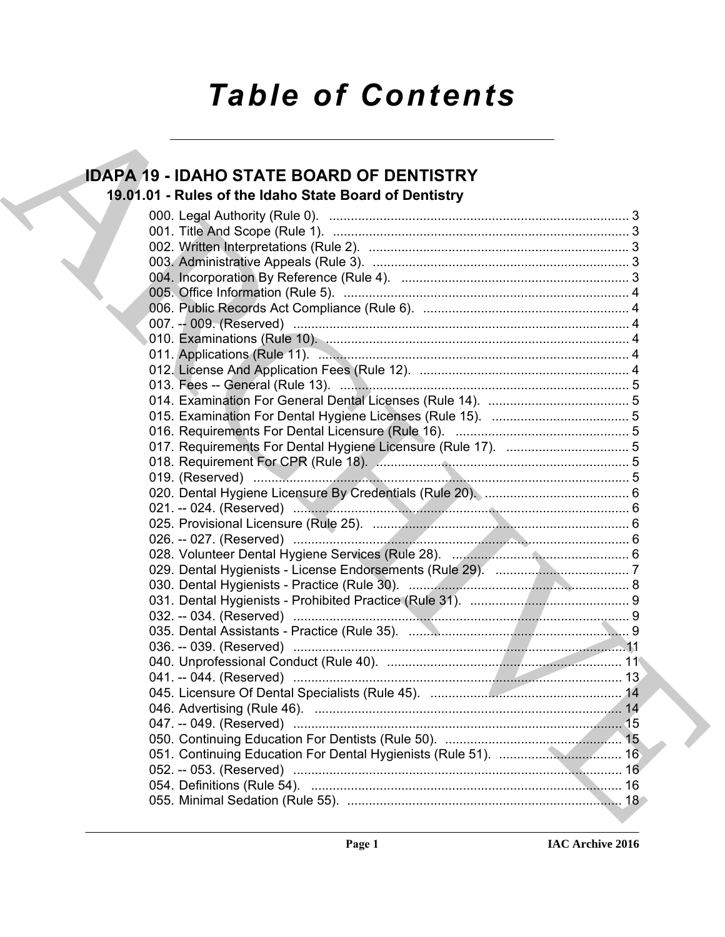# *Table of Contents*

# **IDAPA 19 - IDAHO STATE BOARD OF DENTISTRY 19.01.01 - Rules of the Idaho State Board of Dentistry**

| <b>IDAPA 19 - IDAHO STATE BOARD OF DENTISTRY</b>       |
|--------------------------------------------------------|
| 19.01.01 - Rules of the Idaho State Board of Dentistry |
|                                                        |
|                                                        |
|                                                        |
|                                                        |
|                                                        |
|                                                        |
|                                                        |
|                                                        |
|                                                        |
|                                                        |
|                                                        |
|                                                        |
|                                                        |
|                                                        |
|                                                        |
|                                                        |
|                                                        |
|                                                        |
|                                                        |
|                                                        |
|                                                        |
|                                                        |
|                                                        |
|                                                        |
|                                                        |
|                                                        |
|                                                        |
|                                                        |
|                                                        |
|                                                        |
|                                                        |
|                                                        |
|                                                        |
|                                                        |
|                                                        |
|                                                        |
|                                                        |
|                                                        |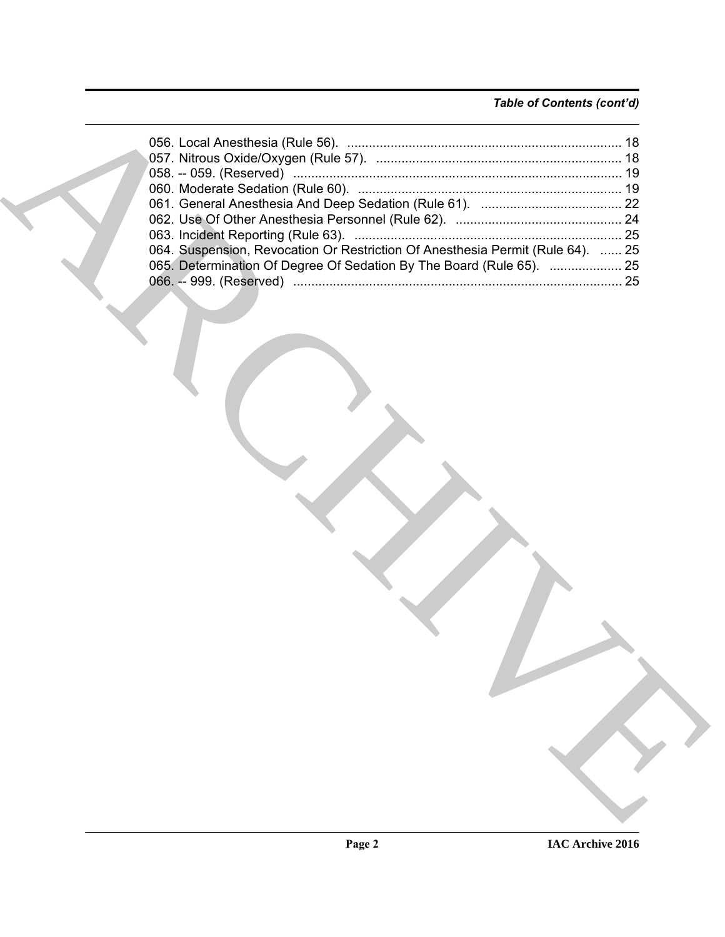# *Table of Contents (cont'd)*

| 065. Determination Of Degree Of Sedation By The Board (Rule 65).  25 |
|----------------------------------------------------------------------|
|                                                                      |
|                                                                      |
|                                                                      |
|                                                                      |
|                                                                      |
|                                                                      |
|                                                                      |
|                                                                      |
|                                                                      |
|                                                                      |
|                                                                      |
|                                                                      |
|                                                                      |
|                                                                      |
|                                                                      |
|                                                                      |
|                                                                      |
|                                                                      |
|                                                                      |
|                                                                      |
|                                                                      |
|                                                                      |
|                                                                      |
|                                                                      |
|                                                                      |
|                                                                      |
|                                                                      |
|                                                                      |
|                                                                      |
|                                                                      |
|                                                                      |
|                                                                      |
|                                                                      |
|                                                                      |
|                                                                      |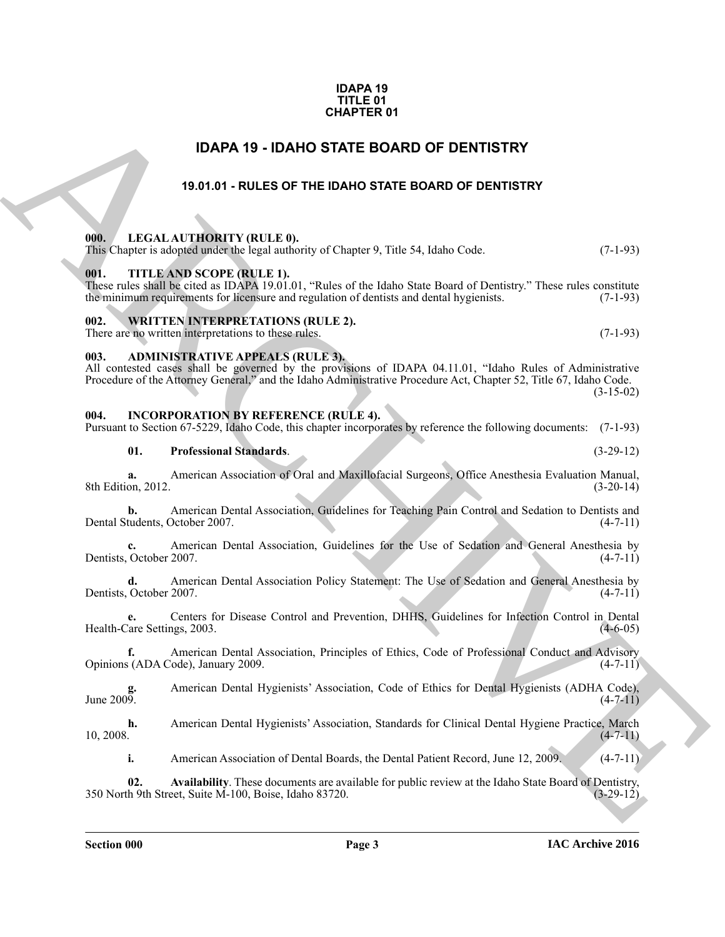### **IDAPA 19 TITLE 01 CHAPTER 01**

# **IDAPA 19 - IDAHO STATE BOARD OF DENTISTRY**

# **19.01.01 - RULES OF THE IDAHO STATE BOARD OF DENTISTRY**

# <span id="page-2-3"></span><span id="page-2-2"></span><span id="page-2-1"></span>**000. LEGAL AUTHORITY (RULE 0).**

<span id="page-2-0"></span>

|                  |                               | <b>CHAPTER 01</b>                                                                                                                                                                                                                                                         |             |
|------------------|-------------------------------|---------------------------------------------------------------------------------------------------------------------------------------------------------------------------------------------------------------------------------------------------------------------------|-------------|
|                  |                               | <b>IDAPA 19 - IDAHO STATE BOARD OF DENTISTRY</b>                                                                                                                                                                                                                          |             |
|                  |                               | 19.01.01 - RULES OF THE IDAHO STATE BOARD OF DENTISTRY                                                                                                                                                                                                                    |             |
| 000.             |                               | LEGAL AUTHORITY (RULE 0).<br>This Chapter is adopted under the legal authority of Chapter 9, Title 54, Idaho Code.                                                                                                                                                        | $(7-1-93)$  |
| 001.             |                               | TITLE AND SCOPE (RULE 1).<br>These rules shall be cited as IDAPA 19.01.01, "Rules of the Idaho State Board of Dentistry." These rules constitute<br>the minimum requirements for licensure and regulation of dentists and dental hygienists.                              | $(7-1-93)$  |
| 002.             |                               | <b>WRITTEN INTERPRETATIONS (RULE 2).</b><br>There are no written interpretations to these rules.                                                                                                                                                                          | $(7-1-93)$  |
| 003.             |                               | <b>ADMINISTRATIVE APPEALS (RULE 3).</b><br>All contested cases shall be governed by the provisions of IDAPA 04.11.01, "Idaho Rules of Administrative<br>Procedure of the Attorney General," and the Idaho Administrative Procedure Act, Chapter 52, Title 67, Idaho Code. | $(3-15-02)$ |
| 004.             |                               | <b>INCORPORATION BY REFERENCE (RULE 4).</b><br>Pursuant to Section 67-5229, Idaho Code, this chapter incorporates by reference the following documents: (7-1-93)                                                                                                          |             |
|                  | 01.                           | <b>Professional Standards.</b>                                                                                                                                                                                                                                            | $(3-29-12)$ |
|                  | a.<br>8th Edition, 2012.      | American Association of Oral and Maxillofacial Surgeons, Office Anesthesia Evaluation Manual,                                                                                                                                                                             | $(3-20-14)$ |
|                  | b.                            | American Dental Association, Guidelines for Teaching Pain Control and Sedation to Dentists and<br>Dental Students, October 2007.                                                                                                                                          | $(4-7-11)$  |
|                  | c.<br>Dentists, October 2007. | American Dental Association, Guidelines for the Use of Sedation and General Anesthesia by                                                                                                                                                                                 | $(4-7-11)$  |
|                  | d.<br>Dentists, October 2007. | American Dental Association Policy Statement: The Use of Sedation and General Anesthesia by                                                                                                                                                                               | $(4-7-11)$  |
|                  | e.                            | Centers for Disease Control and Prevention, DHHS, Guidelines for Infection Control in Dental<br>Health-Care Settings, 2003.                                                                                                                                               | $(4-6-05)$  |
|                  | f.                            | American Dental Association, Principles of Ethics, Code of Professional Conduct and Advisory<br>Opinions (ADA Code), January 2009.                                                                                                                                        | $(4-7-11)$  |
| g.<br>June 2009. |                               | American Dental Hygienists' Association, Code of Ethics for Dental Hygienists (ADHA Code),                                                                                                                                                                                | $(4-7-11)$  |
| 10, 2008.        | h.                            | American Dental Hygienists' Association, Standards for Clinical Dental Hygiene Practice, March                                                                                                                                                                            | $(4-7-11)$  |
|                  | i.                            | American Association of Dental Boards, the Dental Patient Record, June 12, 2009.                                                                                                                                                                                          | $(4-7-11)$  |
|                  | 02.                           | Availability. These documents are available for public review at the Idaho State Board of Dentistry,<br>350 North 9th Street, Suite M-100, Boise, Idaho 83720.                                                                                                            | $(3-29-12)$ |
|                  |                               |                                                                                                                                                                                                                                                                           |             |

### <span id="page-2-4"></span>There are no written interpretations to these rules. (7-1-93)

### <span id="page-2-5"></span>**003. ADMINISTRATIVE APPEALS (RULE 3).**

# <span id="page-2-6"></span>**004. INCORPORATION BY REFERENCE (RULE 4).**

# **01. Professional Standards**. (3-29-12)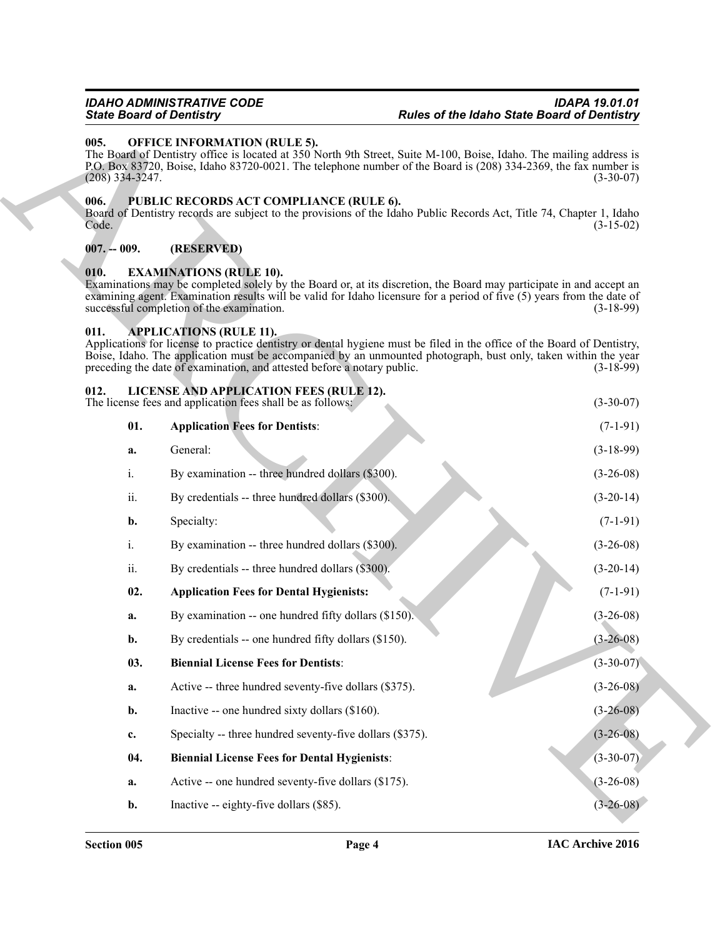# <span id="page-3-0"></span>**005. OFFICE INFORMATION (RULE 5).**

# <span id="page-3-1"></span>**006. PUBLIC RECORDS ACT COMPLIANCE (RULE 6).**

# <span id="page-3-2"></span>**007. -- 009. (RESERVED)**

# <span id="page-3-7"></span><span id="page-3-3"></span>**010. EXAMINATIONS (RULE 10).**

# <span id="page-3-12"></span><span id="page-3-11"></span><span id="page-3-10"></span><span id="page-3-9"></span><span id="page-3-8"></span><span id="page-3-6"></span><span id="page-3-5"></span><span id="page-3-4"></span>**011. APPLICATIONS (RULE 11).**

| <b>State Board of Dentistry</b> |                                                                                                           | <b>Rules of the Idaho State Board of Dentistry</b>                                                                                                                                                                                                           |
|---------------------------------|-----------------------------------------------------------------------------------------------------------|--------------------------------------------------------------------------------------------------------------------------------------------------------------------------------------------------------------------------------------------------------------|
| 005.<br>$(208)$ 334-3247.       | <b>OFFICE INFORMATION (RULE 5).</b>                                                                       | The Board of Dentistry office is located at 350 North 9th Street, Suite M-100, Boise, Idaho. The mailing address is<br>P.O. Box 83720, Boise, Idaho 83720-0021. The telephone number of the Board is (208) 334-2369, the fax number is<br>$(3-30-07)$        |
| 006.<br>Code.                   | PUBLIC RECORDS ACT COMPLIANCE (RULE 6).                                                                   | Board of Dentistry records are subject to the provisions of the Idaho Public Records Act, Title 74, Chapter 1, Idaho<br>$(3-15-02)$                                                                                                                          |
| $007. - 009.$                   | (RESERVED)                                                                                                |                                                                                                                                                                                                                                                              |
| 010.                            | <b>EXAMINATIONS (RULE 10).</b><br>successful completion of the examination.                               | Examinations may be completed solely by the Board or, at its discretion, the Board may participate in and accept an<br>examining agent. Examination results will be valid for Idaho licensure for a period of five (5) years from the date of<br>$(3-18-99)$ |
| 011.                            | <b>APPLICATIONS (RULE 11).</b><br>preceding the date of examination, and attested before a notary public. | Applications for license to practice dentistry or dental hygiene must be filed in the office of the Board of Dentistry,<br>Boise, Idaho. The application must be accompanied by an unmounted photograph, bust only, taken within the year<br>$(3-18-99)$     |
| 012.                            | LICENSE AND APPLICATION FEES (RULE 12).<br>The license fees and application fees shall be as follows:     | $(3-30-07)$                                                                                                                                                                                                                                                  |
| 01.                             | <b>Application Fees for Dentists:</b>                                                                     | $(7-1-91)$                                                                                                                                                                                                                                                   |
| a.                              | General:                                                                                                  | $(3-18-99)$                                                                                                                                                                                                                                                  |
| i.                              | By examination -- three hundred dollars (\$300).                                                          | $(3-26-08)$                                                                                                                                                                                                                                                  |
| ii.                             | By credentials -- three hundred dollars (\$300).                                                          | $(3-20-14)$                                                                                                                                                                                                                                                  |
| b.                              | Specialty:                                                                                                | $(7-1-91)$                                                                                                                                                                                                                                                   |
| i.                              | By examination -- three hundred dollars (\$300).                                                          | $(3-26-08)$                                                                                                                                                                                                                                                  |
| ii.                             | By credentials -- three hundred dollars $(\$300)$ .                                                       | $(3-20-14)$                                                                                                                                                                                                                                                  |
| 02.                             | <b>Application Fees for Dental Hygienists:</b>                                                            | $(7-1-91)$                                                                                                                                                                                                                                                   |
| a.                              | By examination -- one hundred fifty dollars (\$150).                                                      | $(3-26-08)$                                                                                                                                                                                                                                                  |
| b.                              | By credentials -- one hundred fifty dollars (\$150).                                                      | $(3-26-08)$                                                                                                                                                                                                                                                  |
| 03.                             | <b>Biennial License Fees for Dentists:</b>                                                                | $(3-30-07)$                                                                                                                                                                                                                                                  |
| a.                              | Active -- three hundred seventy-five dollars (\$375).                                                     | $(3-26-08)$                                                                                                                                                                                                                                                  |
| b.                              | Inactive -- one hundred sixty dollars (\$160).                                                            | $(3-26-08)$                                                                                                                                                                                                                                                  |
| c.                              | Specialty -- three hundred seventy-five dollars (\$375).                                                  | $(3-26-08)$                                                                                                                                                                                                                                                  |
| 04.                             | <b>Biennial License Fees for Dental Hygienists:</b>                                                       | $(3-30-07)$                                                                                                                                                                                                                                                  |
| a.                              | Active -- one hundred seventy-five dollars (\$175).                                                       | $(3-26-08)$                                                                                                                                                                                                                                                  |
| b.                              | Inactive -- eighty-five dollars (\$85).                                                                   | $(3-26-08)$                                                                                                                                                                                                                                                  |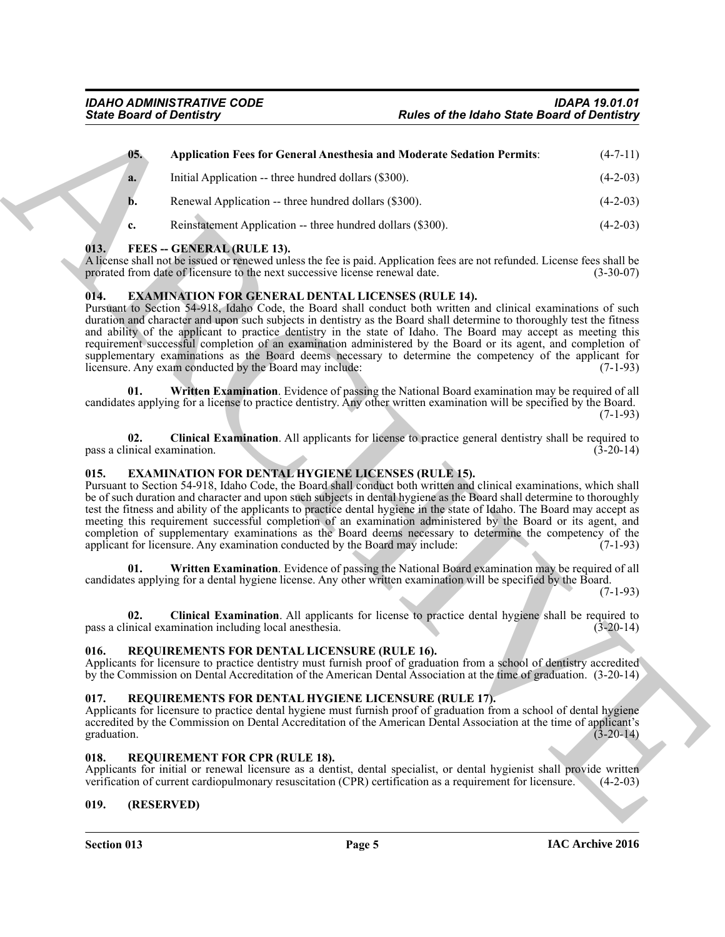|                                     | <b>State Board of Dentistry</b>                                                                                                           | <b>Rules of the Idaho State Board of Dentistry</b>                                                                                                                                                                                                                                                                                                                                                                                                                                                                                                                                                   |             |
|-------------------------------------|-------------------------------------------------------------------------------------------------------------------------------------------|------------------------------------------------------------------------------------------------------------------------------------------------------------------------------------------------------------------------------------------------------------------------------------------------------------------------------------------------------------------------------------------------------------------------------------------------------------------------------------------------------------------------------------------------------------------------------------------------------|-------------|
| 05.                                 |                                                                                                                                           | <b>Application Fees for General Anesthesia and Moderate Sedation Permits:</b>                                                                                                                                                                                                                                                                                                                                                                                                                                                                                                                        | $(4-7-11)$  |
| a.                                  | Initial Application -- three hundred dollars (\$300).                                                                                     |                                                                                                                                                                                                                                                                                                                                                                                                                                                                                                                                                                                                      | $(4-2-03)$  |
| b.                                  | Renewal Application -- three hundred dollars (\$300).                                                                                     |                                                                                                                                                                                                                                                                                                                                                                                                                                                                                                                                                                                                      | $(4-2-03)$  |
| c.                                  | Reinstatement Application -- three hundred dollars (\$300).                                                                               |                                                                                                                                                                                                                                                                                                                                                                                                                                                                                                                                                                                                      | $(4-2-03)$  |
| 013.                                | FEES -- GENERAL (RULE 13).<br>prorated from date of licensure to the next successive license renewal date.                                | A license shall not be issued or renewed unless the fee is paid. Application fees are not refunded. License fees shall be                                                                                                                                                                                                                                                                                                                                                                                                                                                                            | $(3-30-07)$ |
| 014.                                | <b>EXAMINATION FOR GENERAL DENTAL LICENSES (RULE 14).</b><br>licensure. Any exam conducted by the Board may include:                      | Pursuant to Section 54-918, Idaho Code, the Board shall conduct both written and clinical examinations of such<br>duration and character and upon such subjects in dentistry as the Board shall determine to thoroughly test the fitness<br>and ability of the applicant to practice dentistry in the state of Idaho. The Board may accept as meeting this<br>requirement successful completion of an examination administered by the Board or its agent, and completion of<br>supplementary examinations as the Board deems necessary to determine the competency of the applicant for              | $(7-1-93)$  |
| 01.                                 |                                                                                                                                           | Written Examination. Evidence of passing the National Board examination may be required of all<br>candidates applying for a license to practice dentistry. Any other written examination will be specified by the Board.                                                                                                                                                                                                                                                                                                                                                                             | $(7-1-93)$  |
| 02.<br>pass a clinical examination. |                                                                                                                                           | Clinical Examination. All applicants for license to practice general dentistry shall be required to                                                                                                                                                                                                                                                                                                                                                                                                                                                                                                  | $(3-20-14)$ |
| 015.                                | <b>EXAMINATION FOR DENTAL HYGIENE LICENSES (RULE 15).</b><br>applicant for licensure. Any examination conducted by the Board may include: | Pursuant to Section 54-918, Idaho Code, the Board shall conduct both written and clinical examinations, which shall<br>be of such duration and character and upon such subjects in dental hygiene as the Board shall determine to thoroughly<br>test the fitness and ability of the applicants to practice dental hygiene in the state of Idaho. The Board may accept as<br>meeting this requirement successful completion of an examination administered by the Board or its agent, and<br>completion of supplementary examinations as the Board deems necessary to determine the competency of the | $(7-1-93)$  |
| 01.                                 |                                                                                                                                           | Written Examination. Evidence of passing the National Board examination may be required of all<br>candidates applying for a dental hygiene license. Any other written examination will be specified by the Board.                                                                                                                                                                                                                                                                                                                                                                                    | $(7-1-93)$  |
| 02.                                 | pass a clinical examination including local anesthesia.                                                                                   | Clinical Examination. All applicants for license to practice dental hygiene shall be required to                                                                                                                                                                                                                                                                                                                                                                                                                                                                                                     | $(3-20-14)$ |
| 016.                                | REQUIREMENTS FOR DENTAL LICENSURE (RULE 16).                                                                                              | Applicants for licensure to practice dentistry must furnish proof of graduation from a school of dentistry accredited<br>by the Commission on Dental Accreditation of the American Dental Association at the time of graduation. (3-20-14)                                                                                                                                                                                                                                                                                                                                                           |             |
| 017.<br>graduation.                 | REQUIREMENTS FOR DENTAL HYGIENE LICENSURE (RULE 17).                                                                                      | Applicants for licensure to practice dental hygiene must furnish proof of graduation from a school of dental hygiene<br>accredited by the Commission on Dental Accreditation of the American Dental Association at the time of applicant's                                                                                                                                                                                                                                                                                                                                                           | $(3-20-14)$ |
| 018.                                | REQUIREMENT FOR CPR (RULE 18).                                                                                                            | Applicants for initial or renewal licensure as a dentist, dental specialist, or dental hygienist shall provide written<br>verification of current cardiopulmonary resuscitation (CPR) certification as a requirement for licensure.                                                                                                                                                                                                                                                                                                                                                                  | $(4-2-03)$  |
|                                     | (RESERVED)                                                                                                                                |                                                                                                                                                                                                                                                                                                                                                                                                                                                                                                                                                                                                      |             |

# <span id="page-4-14"></span><span id="page-4-13"></span><span id="page-4-0"></span>**013. FEES -- GENERAL (RULE 13).**

# <span id="page-4-12"></span><span id="page-4-10"></span><span id="page-4-1"></span>**014. EXAMINATION FOR GENERAL DENTAL LICENSES (RULE 14).**

# <span id="page-4-11"></span><span id="page-4-9"></span><span id="page-4-7"></span><span id="page-4-2"></span>**015. EXAMINATION FOR DENTAL HYGIENE LICENSES (RULE 15).**

# <span id="page-4-17"></span><span id="page-4-8"></span><span id="page-4-3"></span>**016. REQUIREMENTS FOR DENTAL LICENSURE (RULE 16).**

# <span id="page-4-16"></span><span id="page-4-4"></span>**017. REQUIREMENTS FOR DENTAL HYGIENE LICENSURE (RULE 17).**

# <span id="page-4-15"></span><span id="page-4-5"></span>**018. REQUIREMENT FOR CPR (RULE 18).**

# <span id="page-4-6"></span>**019. (RESERVED)**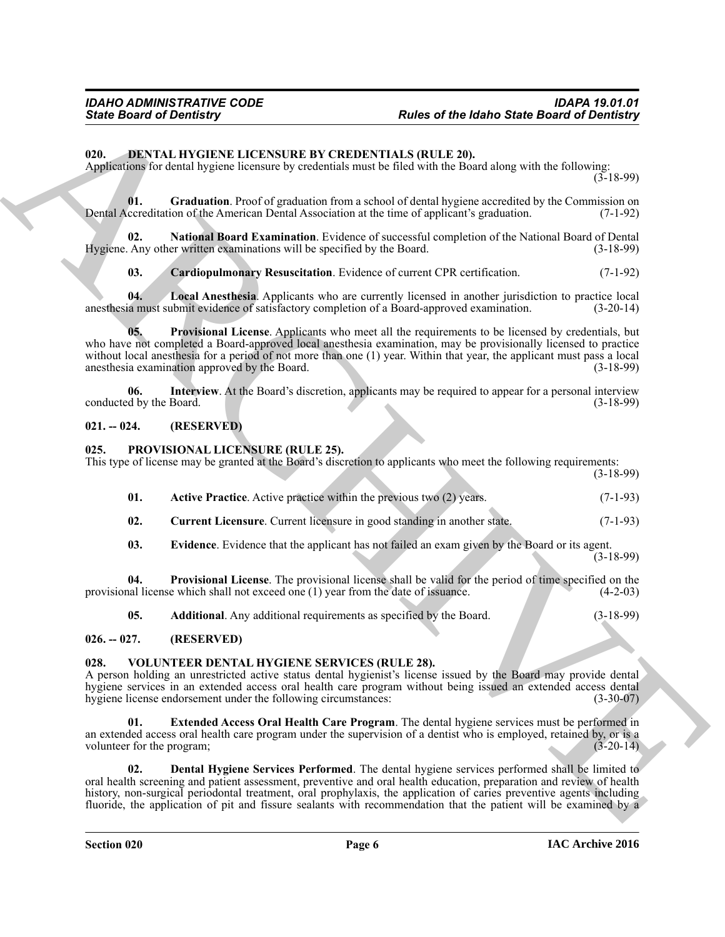# <span id="page-5-5"></span><span id="page-5-0"></span>**020. DENTAL HYGIENE LICENSURE BY CREDENTIALS (RULE 20).**

Applications for dental hygiene licensure by credentials must be filed with the Board along with the following:

 $(3-18-99)$ 

<span id="page-5-7"></span>**01.** Graduation. Proof of graduation from a school of dental hygiene accredited by the Commission on cereditation of the American Dental Association at the time of applicant's graduation. (7-1-92) Dental Accreditation of the American Dental Association at the time of applicant's graduation.

**02. National Board Examination**. Evidence of successful completion of the National Board of Dental Hygiene. Any other written examinations will be specified by the Board. (3-18-99)

<span id="page-5-11"></span><span id="page-5-10"></span><span id="page-5-9"></span><span id="page-5-6"></span>**03. Cardiopulmonary Resuscitation**. Evidence of current CPR certification. (7-1-92)

**04. Local Anesthesia**. Applicants who are currently licensed in another jurisdiction to practice local anesthesia must submit evidence of satisfactory completion of a Board-approved examination. (3-20-14)

**05. Provisional License**. Applicants who meet all the requirements to be licensed by credentials, but who have not completed a Board-approved local anesthesia examination, may be provisionally licensed to practice without local anesthesia for a period of not more than one (1) year. Within that year, the applicant must pass a local anesthesia examination approved by the Board. anesthesia examination approved by the Board.

<span id="page-5-8"></span>**06.** Interview. At the Board's discretion, applicants may be required to appear for a personal interview of by the Board. (3-18-99) conducted by the Board.

# <span id="page-5-1"></span>**021. -- 024. (RESERVED)**

# <span id="page-5-13"></span><span id="page-5-2"></span>**025. PROVISIONAL LICENSURE (RULE 25).**

This type of license may be granted at the Board's discretion to applicants who meet the following requirements:

(3-18-99)

- <span id="page-5-14"></span>**01. Active Practice**. Active practice within the previous two (2) years. (7-1-93)
- <span id="page-5-16"></span>**02.** Current Licensure. Current licensure in good standing in another state. (7-1-93)
- <span id="page-5-17"></span><span id="page-5-12"></span>**03. Evidence**. Evidence that the applicant has not failed an exam given by the Board or its agent.

 $(3-18-99)$ 

**04. Provisional License**. The provisional license shall be valid for the period of time specified on the provisional license which shall not exceed one (1) year from the date of issuance. (4-2-03)

<span id="page-5-18"></span><span id="page-5-15"></span>**05.** Additional. Any additional requirements as specified by the Board.  $(3-18-99)$ 

# <span id="page-5-3"></span>**026. -- 027. (RESERVED)**

# <span id="page-5-4"></span>**028. VOLUNTEER DENTAL HYGIENE SERVICES (RULE 28).**

A person holding an unrestricted active status dental hygienist's license issued by the Board may provide dental hygiene services in an extended access oral health care program without being issued an extended access dental hygiene license endorsement under the following circumstances: (3-30-07)

<span id="page-5-20"></span><span id="page-5-19"></span>**01. Extended Access Oral Health Care Program**. The dental hygiene services must be performed in an extended access oral health care program under the supervision of a dentist who is employed, retained by, or is a volunteer for the program: (3-20-14) volunteer for the program;

Finds **Board of Devirationy**<br>
Trades of the Idaho Sinte Board of Devirationy<br>
CDL **DEVIRE INCORPORATION COLUMNATION** (COLUMNATION COLUMNATION COLUMNATION)<br>
The result of the state of probabilities and the internet of the **02. Dental Hygiene Services Performed**. The dental hygiene services performed shall be limited to oral health screening and patient assessment, preventive and oral health education, preparation and review of health history, non-surgical periodontal treatment, oral prophylaxis, the application of caries preventive agents including fluoride, the application of pit and fissure sealants with recommendation that the patient will be examined by a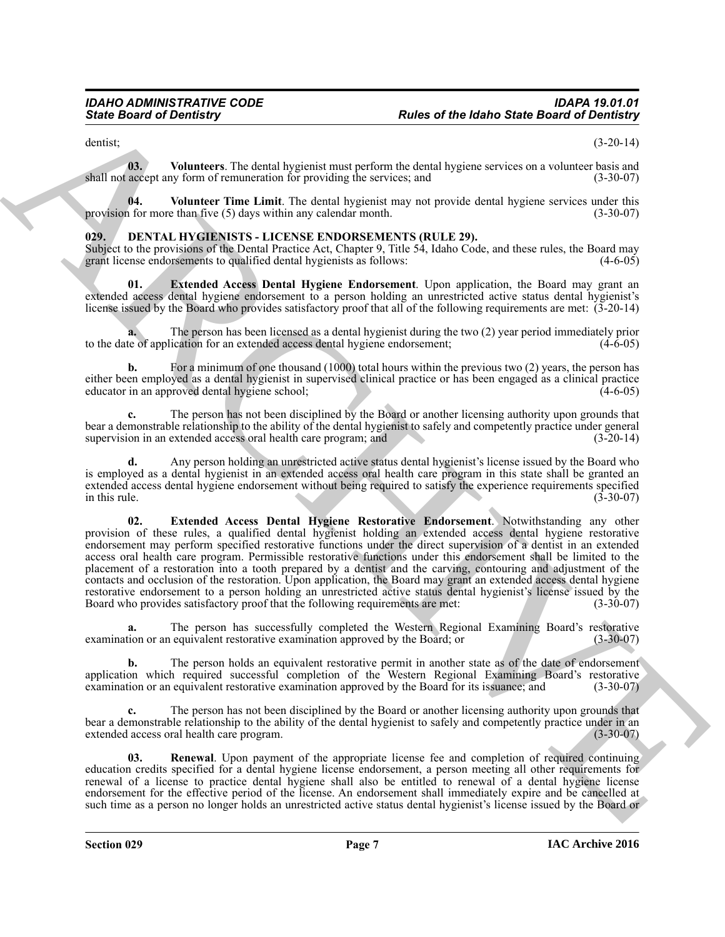<span id="page-6-6"></span>dentist; (3-20-14)

**03.** Volunteers. The dental hygienist must perform the dental hygiene services on a volunteer basis and accept any form of remuneration for providing the services: and  $(3-30-07)$ shall not accept any form of remuneration for providing the services; and

<span id="page-6-5"></span>**04.** Volunteer Time Limit. The dental hygienist may not provide dental hygiene services under this 1 for more than five (5) days within any calendar month. provision for more than five  $(5)$  days within any calendar month.

# <span id="page-6-1"></span><span id="page-6-0"></span>**029. DENTAL HYGIENISTS - LICENSE ENDORSEMENTS (RULE 29).**

Subject to the provisions of the Dental Practice Act, Chapter 9, Title  $5\overline{4}$ , Idaho Code, and these rules, the Board may grant license endorsements to qualified dental hygienists as follows: (4-6-05) grant license endorsements to qualified dental hygienists as follows:

<span id="page-6-2"></span>**01. Extended Access Dental Hygiene Endorsement**. Upon application, the Board may grant an extended access dental hygiene endorsement to a person holding an unrestricted active status dental hygienist's license issued by the Board who provides satisfactory proof that all of the following requirements are met: (3-20-14)

**a.** The person has been licensed as a dental hygienist during the two (2) year period immediately prior te of application for an extended access dental hygiene endorsement: (4-6-05) to the date of application for an extended access dental hygiene endorsement;

For a minimum of one thousand (1000) total hours within the previous two (2) years, the person has either been employed as a dental hygienist in supervised clinical practice or has been engaged as a clinical practice educator in an approved dental hygiene school;

**c.** The person has not been disciplined by the Board or another licensing authority upon grounds that bear a demonstrable relationship to the ability of the dental hygienist to safely and competently practice under general supervision in an extended access oral health care program: and  $(3-20-14)$ supervision in an extended access oral health care program; and

<span id="page-6-3"></span>**d.** Any person holding an unrestricted active status dental hygienist's license issued by the Board who is employed as a dental hygienist in an extended access oral health care program in this state shall be granted an extended access dental hygiene endorsement without being required to satisfy the experience requirements specified<br>(3-30-07)<br>(3-30-07) in this rule.  $(3-30-07)$ 

Since **Detroit of Development** The density of the **Reservoire and the since Board of Development**<br>
Since Board of Development The density spin of the result of the since Board of Development Since Board of Development Sin **02. Extended Access Dental Hygiene Restorative Endorsement**. Notwithstanding any other provision of these rules, a qualified dental hygienist holding an extended access dental hygiene restorative endorsement may perform specified restorative functions under the direct supervision of a dentist in an extended access oral health care program. Permissible restorative functions under this endorsement shall be limited to the placement of a restoration into a tooth prepared by a dentist and the carving, contouring and adjustment of the contacts and occlusion of the restoration. Upon application, the Board may grant an extended access dental hygiene restorative endorsement to a person holding an unrestricted active status dental hygienist's license issued by the Board who provides satisfactory proof that the following requirements are met:  $(3-30-07)$ Board who provides satisfactory proof that the following requirements are met:

**a.** The person has successfully completed the Western Regional Examining Board's restorative examination or an equivalent restorative examination approved by the Board; or (3-30-07)

**b.** The person holds an equivalent restorative permit in another state as of the date of endorsement application which required successful completion of the Western Regional Examining Board's restorative examination approved by the Board for its issuance: and (3-30-07) examination or an equivalent restorative examination approved by the Board for its issuance; and

**c.** The person has not been disciplined by the Board or another licensing authority upon grounds that bear a demonstrable relationship to the ability of the dental hygienist to safely and competently practice under in an extended access oral health care program. (3-30-07) extended access oral health care program.

<span id="page-6-4"></span>**03. Renewal**. Upon payment of the appropriate license fee and completion of required continuing education credits specified for a dental hygiene license endorsement, a person meeting all other requirements for renewal of a license to practice dental hygiene shall also be entitled to renewal of a dental hygiene license endorsement for the effective period of the license. An endorsement shall immediately expire and be cancelled at such time as a person no longer holds an unrestricted active status dental hygienist's license issued by the Board or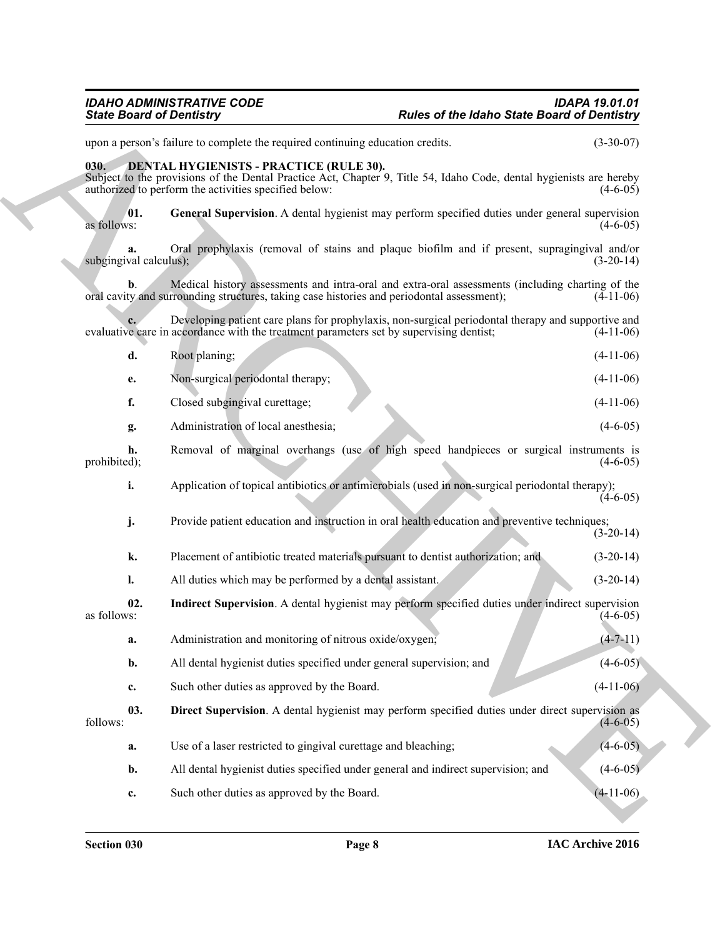# *IDAHO ADMINISTRATIVE CODE IDAPA 19.01.01 State Board of Dentistry Rules of the Idaho State Board of Dentistry*

# <span id="page-7-4"></span><span id="page-7-3"></span><span id="page-7-2"></span><span id="page-7-1"></span><span id="page-7-0"></span>**030. DENTAL HYGIENISTS - PRACTICE (RULE 30).**

|                              | <b>State Board of Dentistry</b>                                                                                                                                                                                                | <b>Rules of the Idaho State Board of Dentistry</b>                                |                |
|------------------------------|--------------------------------------------------------------------------------------------------------------------------------------------------------------------------------------------------------------------------------|-----------------------------------------------------------------------------------|----------------|
|                              | upon a person's failure to complete the required continuing education credits.                                                                                                                                                 |                                                                                   | $(3-30-07)$    |
| 030.                         | <b>DENTAL HYGIENISTS - PRACTICE (RULE 30).</b><br>Subject to the provisions of the Dental Practice Act, Chapter 9, Title 54, Idaho Code, dental hygienists are hereby<br>authorized to perform the activities specified below: |                                                                                   | $(4-6-05)$     |
| 01.<br>as follows:           | General Supervision. A dental hygienist may perform specified duties under general supervision                                                                                                                                 |                                                                                   | $(4-6-05)$     |
| a.<br>subgingival calculus); | Oral prophylaxis (removal of stains and plaque biofilm and if present, supragingival and/or                                                                                                                                    |                                                                                   | $(3-20-14)$    |
| b.                           | Medical history assessments and intra-oral and extra-oral assessments (including charting of the<br>oral cavity and surrounding structures, taking case histories and periodontal assessment);                                 |                                                                                   | $(4-11-06)$    |
|                              | Developing patient care plans for prophylaxis, non-surgical periodontal therapy and supportive and<br>evaluative care in accordance with the treatment parameters set by supervising dentist;                                  |                                                                                   | $(4-11-06)$    |
| d.                           | Root planing;                                                                                                                                                                                                                  |                                                                                   | $(4-11-06)$    |
| е.                           | Non-surgical periodontal therapy;                                                                                                                                                                                              |                                                                                   | $(4-11-06)$    |
| f.                           | Closed subgingival curettage;                                                                                                                                                                                                  |                                                                                   | $(4-11-06)$    |
| g.                           | Administration of local anesthesia;                                                                                                                                                                                            |                                                                                   | $(4-6-05)$     |
| h.<br>prohibited);           | Removal of marginal overhangs (use of high speed handpieces or surgical instruments is                                                                                                                                         |                                                                                   | $(4-6-05)$     |
| i.                           | Application of topical antibiotics or antimicrobials (used in non-surgical periodontal therapy);                                                                                                                               |                                                                                   | $(4-6-05)$     |
| j.                           | Provide patient education and instruction in oral health education and preventive techniques;                                                                                                                                  |                                                                                   | $(3-20-14)$    |
| k.                           | Placement of antibiotic treated materials pursuant to dentist authorization; and                                                                                                                                               |                                                                                   | $(3-20-14)$    |
| 1.                           | All duties which may be performed by a dental assistant.                                                                                                                                                                       |                                                                                   | $(3-20-14)$    |
| 02.<br>as follows:           | Indirect Supervision. A dental hygienist may perform specified duties under indirect supervision                                                                                                                               |                                                                                   | $(4-6-05)$     |
| a.                           | Administration and monitoring of nitrous oxide/oxygen;                                                                                                                                                                         |                                                                                   | $(4 - 7 - 11)$ |
| b.                           | All dental hygienist duties specified under general supervision; and                                                                                                                                                           |                                                                                   | $(4-6-05)$     |
| c.                           | Such other duties as approved by the Board.                                                                                                                                                                                    |                                                                                   | $(4-11-06)$    |
| 03.<br>follows:              | Direct Supervision. A dental hygienist may perform specified duties under direct supervision as                                                                                                                                |                                                                                   | $(4-6-05)$     |
| a.                           | Use of a laser restricted to gingival curettage and bleaching;                                                                                                                                                                 |                                                                                   | $(4-6-05)$     |
|                              |                                                                                                                                                                                                                                | All dental hygienist duties specified under general and indirect supervision; and | $(4 - 6 - 05)$ |
| b.                           |                                                                                                                                                                                                                                |                                                                                   |                |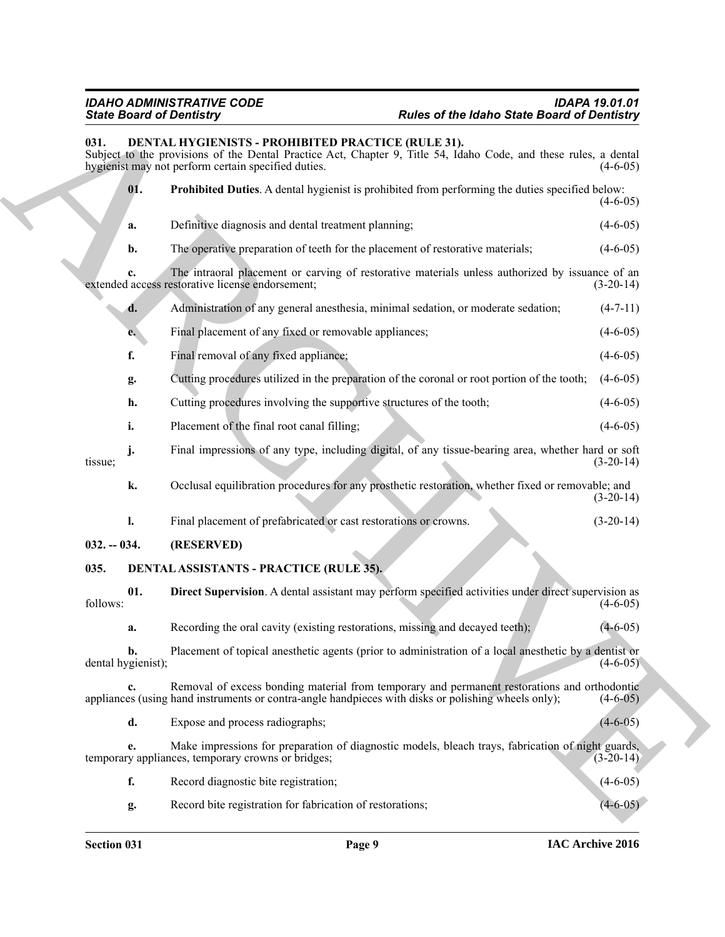# <span id="page-8-6"></span><span id="page-8-5"></span><span id="page-8-4"></span><span id="page-8-3"></span><span id="page-8-0"></span>*IDAHO ADMINISTRATIVE CODE IDAPA 19.01.01 State Board of Dentistry Rules of the Idaho State Board of Dentistry*

# <span id="page-8-2"></span><span id="page-8-1"></span>Sink Bookhard Towards The Finance of the same of the same of the same Bookhard Towards (Actual<br>
ARCHIVER CONTINUES IN PROCESS (ACCES)<br>
We are the same of the same of the same of the same of the same of the same of the sam **031. DENTAL HYGIENISTS - PROHIBITED PRACTICE (RULE 31).** Subject to the provisions of the Dental Practice Act, Chapter 9, Title 54, Idaho Code, and these rules, a dental hygienist may not perform certain specified duties. (4-6-05) hygienist may not perform certain specified duties. **01. Prohibited Duties**. A dental hygienist is prohibited from performing the duties specified below:  $(4-6-05)$ **a.** Definitive diagnosis and dental treatment planning; (4-6-05) **b.** The operative preparation of teeth for the placement of restorative materials; (4-6-05) **c.** The intraoral placement or carving of restorative materials unless authorized by issuance of an access restorative license endorsement; (3-20-14) extended access restorative license endorsement; **d.** Administration of any general anesthesia, minimal sedation, or moderate sedation; (4-7-11) **e.** Final placement of any fixed or removable appliances; (4-6-05) **f.** Final removal of any fixed appliance; (4-6-05) **g.** Cutting procedures utilized in the preparation of the coronal or root portion of the tooth; (4-6-05) **h.** Cutting procedures involving the supportive structures of the tooth;  $(4-6-05)$ **i.** Placement of the final root canal filling; (4-6-05) **j.** Final impressions of any type, including digital, of any tissue-bearing area, whether hard or soft (3-20-14) tissue;  $(3-20-14)$ **k.** Occlusal equilibration procedures for any prosthetic restoration, whether fixed or removable; and  $(3-20-14)$ **l.** Final placement of prefabricated or cast restorations or crowns.  $(3-20-14)$ **032. -- 034. (RESERVED) 035. DENTAL ASSISTANTS - PRACTICE (RULE 35). 01. Direct Supervision**. A dental assistant may perform specified activities under direct supervision as  $f_{0}$  follows:  $(4-6-05)$ **a.** Recording the oral cavity (existing restorations, missing and decayed teeth); (4-6-05) **b.** Placement of topical anesthetic agents (prior to administration of a local anesthetic by a dentist or (4-6-05) dental hygienist); **c.** Removal of excess bonding material from temporary and permanent restorations and orthodontic appliances (using hand instruments or contra-angle handpieces with disks or polishing wheels only); (4-6-05) **d.** Expose and process radiographs; (4-6-05) **e.** Make impressions for preparation of diagnostic models, bleach trays, fabrication of night guards, v appliances, temporary crowns or bridges; (3-20-14) temporary appliances, temporary crowns or bridges; **f.** Record diagnostic bite registration; (4-6-05) **g.** Record bite registration for fabrication of restorations; (4-6-05)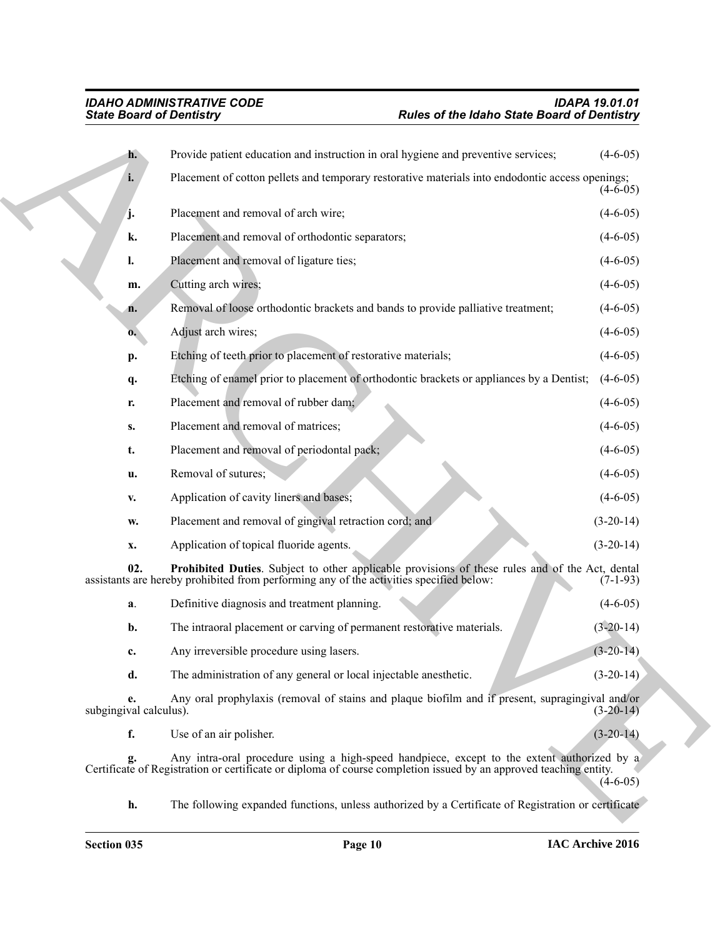<span id="page-9-0"></span>

|                              | <b>State Board of Dentistry</b><br><b>Rules of the Idaho State Board of Dentistry</b>                                                                                                                            |             |
|------------------------------|------------------------------------------------------------------------------------------------------------------------------------------------------------------------------------------------------------------|-------------|
| $h$ .                        | Provide patient education and instruction in oral hygiene and preventive services;                                                                                                                               | $(4-6-05)$  |
| i.                           | Placement of cotton pellets and temporary restorative materials into endodontic access openings;                                                                                                                 | $(4-6-05)$  |
| j.                           | Placement and removal of arch wire;                                                                                                                                                                              | $(4-6-05)$  |
| k.                           | Placement and removal of orthodontic separators;                                                                                                                                                                 | $(4-6-05)$  |
| l.                           | Placement and removal of ligature ties;                                                                                                                                                                          | $(4-6-05)$  |
| m.                           | Cutting arch wires;                                                                                                                                                                                              | $(4-6-05)$  |
| n.                           | Removal of loose orthodontic brackets and bands to provide palliative treatment;                                                                                                                                 | $(4-6-05)$  |
| $\mathbf{0}$ .               | Adjust arch wires;                                                                                                                                                                                               | $(4-6-05)$  |
| p.                           | Etching of teeth prior to placement of restorative materials;                                                                                                                                                    | $(4-6-05)$  |
| q.                           | Etching of enamel prior to placement of orthodontic brackets or appliances by a Dentist;                                                                                                                         | $(4-6-05)$  |
| r.                           | Placement and removal of rubber dam;                                                                                                                                                                             | $(4-6-05)$  |
| S.                           | Placement and removal of matrices;                                                                                                                                                                               | $(4-6-05)$  |
| t.                           | Placement and removal of periodontal pack;                                                                                                                                                                       | $(4-6-05)$  |
| u.                           | Removal of sutures;                                                                                                                                                                                              | $(4-6-05)$  |
| v.                           | Application of cavity liners and bases;                                                                                                                                                                          | $(4-6-05)$  |
| w.                           | Placement and removal of gingival retraction cord; and                                                                                                                                                           | $(3-20-14)$ |
| x.                           | Application of topical fluoride agents.                                                                                                                                                                          | $(3-20-14)$ |
| 02.                          | Prohibited Duties. Subject to other applicable provisions of these rules and of the Act, dental<br>assistants are hereby prohibited from performing any of the activities specified below:                       | $(7-1-93)$  |
| a.                           | Definitive diagnosis and treatment planning.                                                                                                                                                                     | $(4-6-05)$  |
| b.                           | The intraoral placement or carving of permanent restorative materials.                                                                                                                                           | $(3-20-14)$ |
| c.                           | Any irreversible procedure using lasers.                                                                                                                                                                         | $(3-20-14)$ |
| d.                           | The administration of any general or local injectable anesthetic.                                                                                                                                                | $(3-20-14)$ |
| e.<br>subgingival calculus). | Any oral prophylaxis (removal of stains and plaque biofilm and if present, supragingival and/or                                                                                                                  | $(3-20-14)$ |
| f.                           | Use of an air polisher.                                                                                                                                                                                          | $(3-20-14)$ |
| g.                           | Any intra-oral procedure using a high-speed handpiece, except to the extent authorized by a<br>Certificate of Registration or certificate or diploma of course completion issued by an approved teaching entity. | $(4-6-05)$  |
| h.                           | The following expanded functions, unless authorized by a Certificate of Registration or certificate                                                                                                              |             |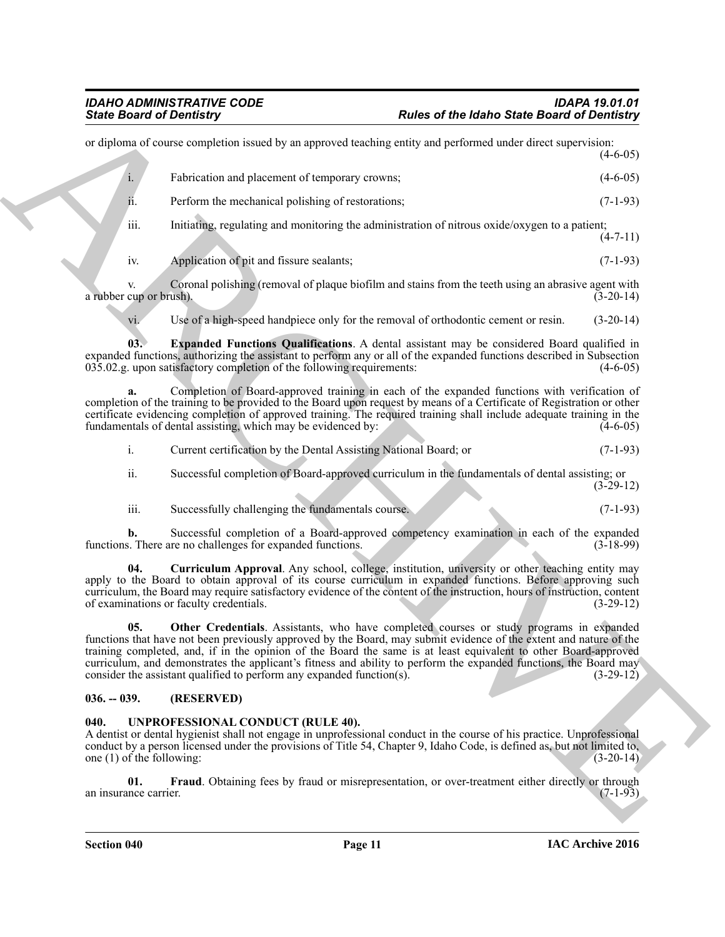Sinks Board of December 2018<br>
and declines the state of the following Charles of the Sales Sinks Board of December 2018<br>
and declines the state of the state of the state of the state of the state of the state of the state or diploma of course completion issued by an approved teaching entity and performed under direct supervision: (4-6-05) i. Fabrication and placement of temporary crowns; (4-6-05) ii. Perform the mechanical polishing of restorations; (7-1-93) iii. Initiating, regulating and monitoring the administration of nitrous oxide/oxygen to a patient;  $(4 - 7 - 11)$ 

iv. Application of pit and fissure sealants; (7-1-93)

v. Coronal polishing (removal of plaque biofilm and stains from the teeth using an abrasive agent with cup or brush). (3-20-14) a rubber cup or brush).

<span id="page-10-3"></span>vi. Use of a high-speed handpiece only for the removal of orthodontic cement or resin. (3-20-14)

**03. Expanded Functions Qualifications**. A dental assistant may be considered Board qualified in expanded functions, authorizing the assistant to perform any or all of the expanded functions described in Subsection 035.02.g. upon satisfactory completion of the following requirements: (4-6-05)  $035.02$ .g. upon satisfactory completion of the following requirements:

**a.** Completion of Board-approved training in each of the expanded functions with verification of completion of the training to be provided to the Board upon request by means of a Certificate of Registration or other certificate evidencing completion of approved training. The required training shall include adequate training in the fundamentals of dental assisting, which may be evidenced by: (4-6-05)

i. Current certification by the Dental Assisting National Board; or (7-1-93)

ii. Successful completion of Board-approved curriculum in the fundamentals of dental assisting; or (3-29-12)

<span id="page-10-2"></span>iii. Successfully challenging the fundamentals course. (7-1-93)

**b.** Successful completion of a Board-approved competency examination in each of the expanded s. There are no challenges for expanded functions. (3-18-99) functions. There are no challenges for expanded functions.

**04. Curriculum Approval**. Any school, college, institution, university or other teaching entity may apply to the Board to obtain approval of its course curriculum in expanded functions. Before approving such curriculum, the Board may require satisfactory evidence of the content of the instruction, hours of instruction, content of examinations or faculty credentials.

<span id="page-10-4"></span>**05. Other Credentials**. Assistants, who have completed courses or study programs in expanded functions that have not been previously approved by the Board, may submit evidence of the extent and nature of the training completed, and, if in the opinion of the Board the same is at least equivalent to other Board-approved curriculum, and demonstrates the applicant's fitness and ability to perform the expanded functions, the Board may consider the assistant qualified to perform any expanded function(s). (3-29-12) consider the assistant qualified to perform any expanded function(s).

# <span id="page-10-0"></span>**036. -- 039. (RESERVED)**

# <span id="page-10-5"></span><span id="page-10-1"></span>**040. UNPROFESSIONAL CONDUCT (RULE 40).**

A dentist or dental hygienist shall not engage in unprofessional conduct in the course of his practice. Unprofessional conduct by a person licensed under the provisions of Title 54, Chapter 9, Idaho Code, is defined as, but not limited to, one  $(1)$  of the following:

<span id="page-10-6"></span>**01.** Fraud. Obtaining fees by fraud or misrepresentation, or over-treatment either directly or through nece carrier. (7-1-93) an insurance carrier.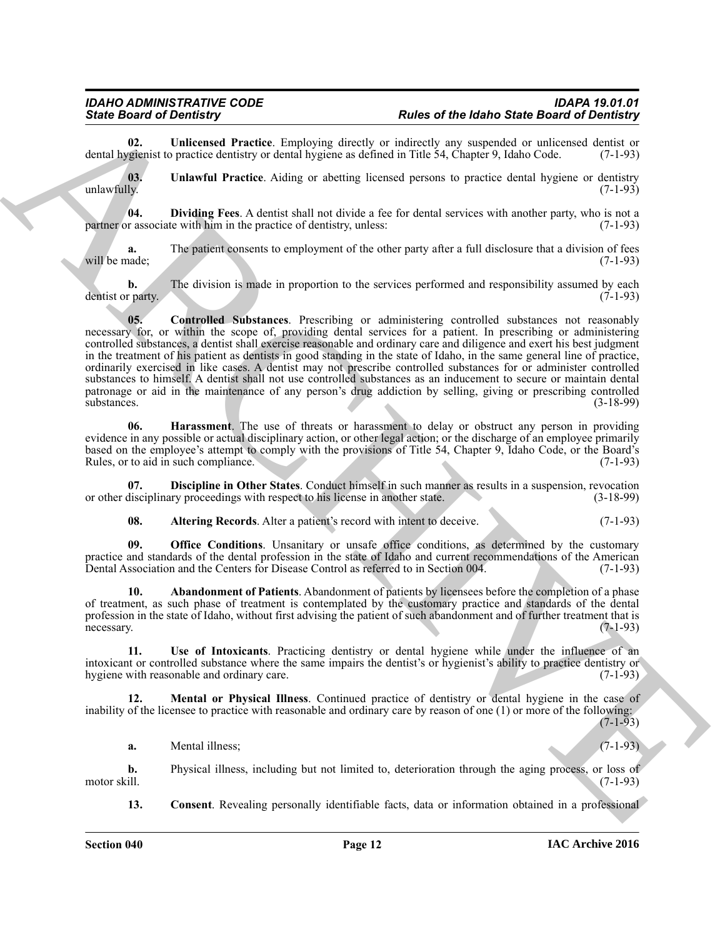<span id="page-11-10"></span>**02.** Unlicensed Practice. Employing directly or indirectly any suspended or unlicensed dentist or variant of variant or dential hygiene as defined in Title 54. Chapter 9. Idaho Code. (7-1-93) dental hygienist to practice dentistry or dental hygiene as defined in Title 54, Chapter 9, Idaho Code.

<span id="page-11-0"></span>**03.** Unlawful Practice. Aiding or abetting licensed persons to practice dental hygiene or dentistry unlawfully. (7-1-93) unlawfully. (7-1-93)

<span id="page-11-6"></span>**04. Dividing Fees**. A dentist shall not divide a fee for dental services with another party, who is not a partner or associate with him in the practice of dentistry, unless:

The patient consents to employment of the other party after a full disclosure that a division of fees (7-1-93) will be made;

<span id="page-11-4"></span>**b.** The division is made in proportion to the services performed and responsibility assumed by each r party. (7-1-93) dentist or party.

Since of Demonstration Contribute and the state of Melassion and the Melassion of Melassion and Contribute and Contribute and Contribute and Contribute and Contribute and Contribute and Contribute and Contribute and Contr **05. Controlled Substances**. Prescribing or administering controlled substances not reasonably necessary for, or within the scope of, providing dental services for a patient. In prescribing or administering controlled substances, a dentist shall exercise reasonable and ordinary care and diligence and exert his best judgment in the treatment of his patient as dentists in good standing in the state of Idaho, in the same general line of practice, ordinarily exercised in like cases. A dentist may not prescribe controlled substances for or administer controlled substances to himself. A dentist shall not use controlled substances as an inducement to secure or maintain dental patronage or aid in the maintenance of any person's drug addiction by selling, giving or prescribing controlled<br>(3-18-99) (3-18-99)  $\frac{1}{3}$ substances. (3-18-99)

<span id="page-11-7"></span>**06. Harassment**. The use of threats or harassment to delay or obstruct any person in providing evidence in any possible or actual disciplinary action, or other legal action; or the discharge of an employee primarily based on the employee's attempt to comply with the provisions of Title 54, Chapter 9, Idaho Code, or the Board's Rules, or to aid in such compliance.

**07. Discipline in Other States**. Conduct himself in such manner as results in a suspension, revocation disciplinary proceedings with respect to his license in another state. (3-18-99) or other disciplinary proceedings with respect to his license in another state.

<span id="page-11-9"></span><span id="page-11-5"></span><span id="page-11-2"></span><span id="page-11-1"></span>**08.** Altering Records. Alter a patient's record with intent to deceive. (7-1-93)

**09. Office Conditions**. Unsanitary or unsafe office conditions, as determined by the customary practice and standards of the dental profession in the state of Idaho and current recommendations of the American Dental Association and the Centers for Disease Control as referred to in Section 004. (7-1-93)

**10. Abandonment of Patients**. Abandonment of patients by licensees before the completion of a phase of treatment, as such phase of treatment is contemplated by the customary practice and standards of the dental profession in the state of Idaho, without first advising the patient of such abandonment and of further treatment that is necessary. (7-1-93) necessary. (7-1-93)

<span id="page-11-11"></span>**11. Use of Intoxicants**. Practicing dentistry or dental hygiene while under the influence of an intoxicant or controlled substance where the same impairs the dentist's or hygienist's ability to practice dentistry or hygiene with reasonable and ordinary care.

**12. Mental or Physical Illness**. Continued practice of dentistry or dental hygiene in the case of inability of the licensee to practice with reasonable and ordinary care by reason of one (1) or more of the following:  $(7-1-93)$ 

<span id="page-11-8"></span>**a.** Mental illness; (7-1-93)

**b.** Physical illness, including but not limited to, deterioration through the aging process, or loss of motor skill. (7-1-93) motor skill.  $(7-1-93)$ 

<span id="page-11-3"></span>**13. Consent**. Revealing personally identifiable facts, data or information obtained in a professional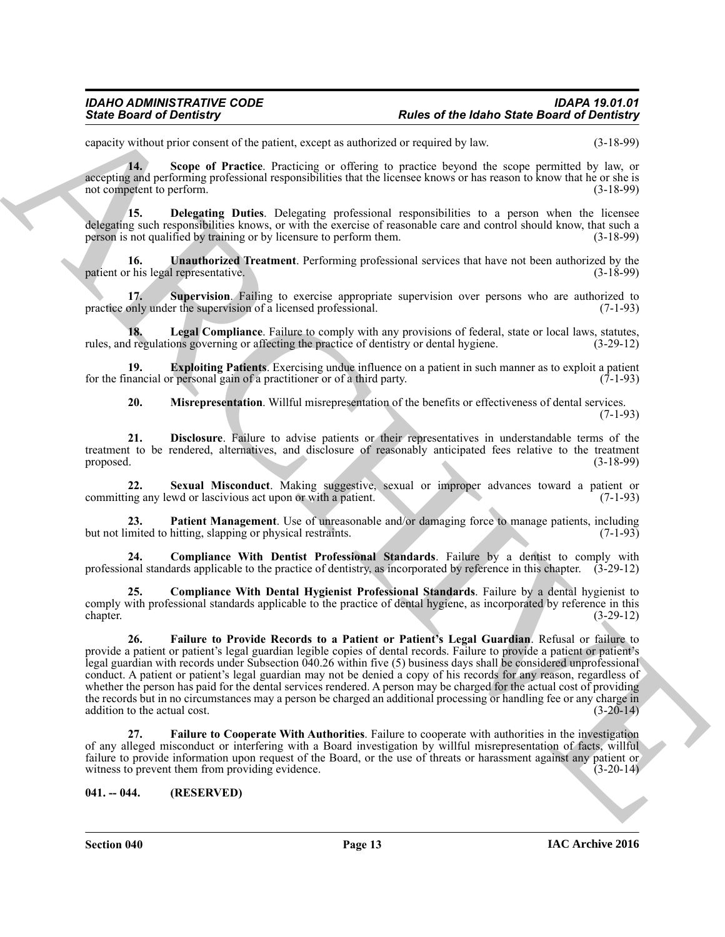capacity without prior consent of the patient, except as authorized or required by law. (3-18-99)

<span id="page-12-11"></span>**14. Scope of Practice**. Practicing or offering to practice beyond the scope permitted by law, or accepting and performing professional responsibilities that the licensee knows or has reason to know that he or she is not competent to perform. (3-18-99)

<span id="page-12-3"></span>**15. Delegating Duties**. Delegating professional responsibilities to a person when the licensee delegating such responsibilities knows, or with the exercise of reasonable care and control should know, that such a person is not qualified by training or by licensure to perform them. (3-18-99)

<span id="page-12-14"></span>**16. Unauthorized Treatment**. Performing professional services that have not been authorized by the r his legal representative. (3-18-99) patient or his legal representative.

<span id="page-12-13"></span>**17. Supervision**. Failing to exercise appropriate supervision over persons who are authorized to practice only under the supervision of a licensed professional. (7-1-93)

<span id="page-12-8"></span>**18.** Legal Compliance. Failure to comply with any provisions of federal, state or local laws, statutes, if regulations governing or affecting the practice of dentistry or dental hygiene. (3-29-12) rules, and regulations governing or affecting the practice of dentistry or dental hygiene.

**19. Exploiting Patients**. Exercising undue influence on a patient in such manner as to exploit a patient nancial or personal gain of a practitioner or of a third party. (7-1-93) for the financial or personal gain of a practitioner or of a third party.

<span id="page-12-12"></span><span id="page-12-9"></span><span id="page-12-5"></span><span id="page-12-4"></span>**20. Misrepresentation**. Willful misrepresentation of the benefits or effectiveness of dental services.

 $(7-1-93)$ 

**21. Disclosure**. Failure to advise patients or their representatives in understandable terms of the treatment to be rendered, alternatives, and disclosure of reasonably anticipated fees relative to the treatment proposed. (3-18-99) proposed. (3-18-99)

**22.** Sexual Misconduct. Making suggestive, sexual or improper advances toward a patient or ing any lewd or lascivious act upon or with a patient. (7-1-93) committing any lewd or lascivious act upon or with a patient.

<span id="page-12-10"></span>**Patient Management**. Use of unreasonable and/or damaging force to manage patients, including but not limited to hitting, slapping or physical restraints. (7-1-93)

<span id="page-12-2"></span>**24. Compliance With Dentist Professional Standards**. Failure by a dentist to comply with professional standards applicable to the practice of dentistry, as incorporated by reference in this chapter. (3-29-12)

<span id="page-12-7"></span><span id="page-12-1"></span>**25. Compliance With Dental Hygienist Professional Standards**. Failure by a dental hygienist to comply with professional standards applicable to the practice of dental hygiene, as incorporated by reference in this chapter. (3-29-12) chapter.  $(3-29-12)$ 

Since Board of Development Columbia compt to subsect the state Board of Development Columbia comptoment (Section 2018)<br>
Since The Columbia comptoment of the state of the state portion of the state portion of the state por **26. Failure to Provide Records to a Patient or Patient's Legal Guardian**. Refusal or failure to provide a patient or patient's legal guardian legible copies of dental records. Failure to provide a patient or patient's legal guardian with records under Subsection 040.26 within five (5) business days shall be considered unprofessional conduct. A patient or patient's legal guardian may not be denied a copy of his records for any reason, regardless of whether the person has paid for the dental services rendered. A person may be charged for the actual cost of providing the records but in no circumstances may a person be charged an additional processing or handling fee or any charge in addition to the actual cost. (3-20-14) addition to the actual cost.

<span id="page-12-6"></span>**27. Failure to Cooperate With Authorities**. Failure to cooperate with authorities in the investigation of any alleged misconduct or interfering with a Board investigation by willful misrepresentation of facts, willful failure to provide information upon request of the Board, or the use of threats or harassment against any patient or witness to prevent them from providing evidence. (3-20-14)

<span id="page-12-0"></span>**041. -- 044. (RESERVED)**

**Section 040 Page 13**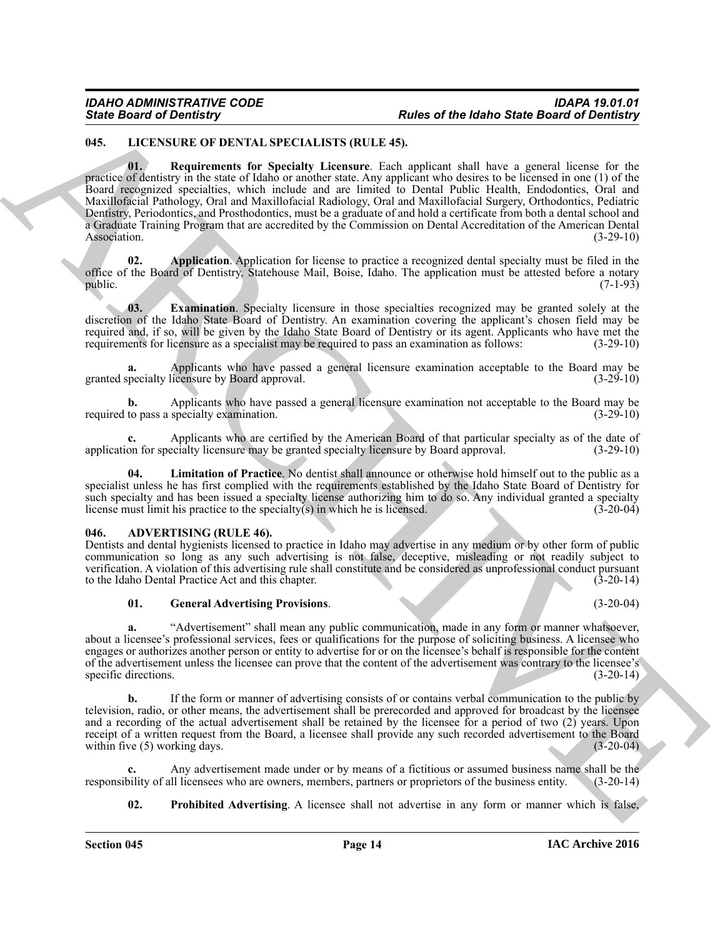# <span id="page-13-9"></span><span id="page-13-5"></span><span id="page-13-0"></span>**045. LICENSURE OF DENTAL SPECIALISTS (RULE 45).**

Finds Board of Development at the U.S. Section 16 and the Board of Development at the Board of Development at the Control of the Board of Development at the Control of the Board of the Control of the Control of the Contro **01. Requirements for Specialty Licensure**. Each applicant shall have a general license for the practice of dentistry in the state of Idaho or another state. Any applicant who desires to be licensed in one (1) of the Board recognized specialties, which include and are limited to Dental Public Health, Endodontics, Oral and Maxillofacial Pathology, Oral and Maxillofacial Radiology, Oral and Maxillofacial Surgery, Orthodontics, Pediatric Dentistry, Periodontics, and Prosthodontics, must be a graduate of and hold a certificate from both a dental school and a Graduate Training Program that are accredited by the Commission on Dental Accreditation of the American Dental Association. (3-29-10)

<span id="page-13-6"></span>**02. Application**. Application for license to practice a recognized dental specialty must be filed in the office of the Board of Dentistry, Statehouse Mail, Boise, Idaho. The application must be attested before a notary public. (7-1-93)

<span id="page-13-7"></span>**03. Examination**. Specialty licensure in those specialties recognized may be granted solely at the discretion of the Idaho State Board of Dentistry. An examination covering the applicant's chosen field may be required and, if so, will be given by the Idaho State Board of Dentistry or its agent. Applicants who have met the requirements for licensure as a specialist may be required to pass an examination as follows:  $(3-29-10)$ requirements for licensure as a specialist may be required to pass an examination as follows:

Applicants who have passed a general licensure examination acceptable to the Board may be licensure by Board approval. (3-29-10) granted specialty licensure by Board approval.

**b.** Applicants who have passed a general licensure examination not acceptable to the Board may be to pass a specialty examination. (3-29-10) required to pass a specialty examination.

**c.** Applicants who are certified by the American Board of that particular specialty as of the date of on for specialty licensure may be granted specialty licensure by Board approval. (3-29-10) application for specialty licensure may be granted specialty licensure by Board approval.

<span id="page-13-8"></span>Limitation of Practice. No dentist shall announce or otherwise hold himself out to the public as a specialist unless he has first complied with the requirements established by the Idaho State Board of Dentistry for such specialty and has been issued a specialty license authorizing him to do so. Any individual granted a specialty<br>license must limit his practice to the specialty(s) in which he is licensed. (3-20-04) license must limit his practice to the specialty $(s)$  in which he is licensed.

# <span id="page-13-2"></span><span id="page-13-1"></span>**046. ADVERTISING (RULE 46).**

Dentists and dental hygienists licensed to practice in Idaho may advertise in any medium or by other form of public communication so long as any such advertising is not false, deceptive, misleading or not readily subject to verification. A violation of this advertising rule shall constitute and be considered as unprofessional conduct pursuant to the Idaho Dental Practice Act and this chapter. (3-20-14)

# <span id="page-13-3"></span>**01. General Advertising Provisions**. (3-20-04)

**a.** "Advertisement" shall mean any public communication, made in any form or manner whatsoever, about a licensee's professional services, fees or qualifications for the purpose of soliciting business. A licensee who engages or authorizes another person or entity to advertise for or on the licensee's behalf is responsible for the content of the advertisement unless the licensee can prove that the content of the advertisement was contrary to the licensee's specific directions. (3-20-14) specific directions.

**b.** If the form or manner of advertising consists of or contains verbal communication to the public by television, radio, or other means, the advertisement shall be prerecorded and approved for broadcast by the licensee and a recording of the actual advertisement shall be retained by the licensee for a period of two (2) years. Upon receipt of a written request from the Board, a licensee shall provide any such recorded advertisement to the Board within five  $(5)$  working days.  $(3-20-04)$ 

Any advertisement made under or by means of a fictitious or assumed business name shall be the lil licensees who are owners, members, partners or proprietors of the business entity. (3-20-14) responsibility of all licensees who are owners, members, partners or proprietors of the business entity.

<span id="page-13-4"></span>**02.** Prohibited Advertising. A licensee shall not advertise in any form or manner which is false,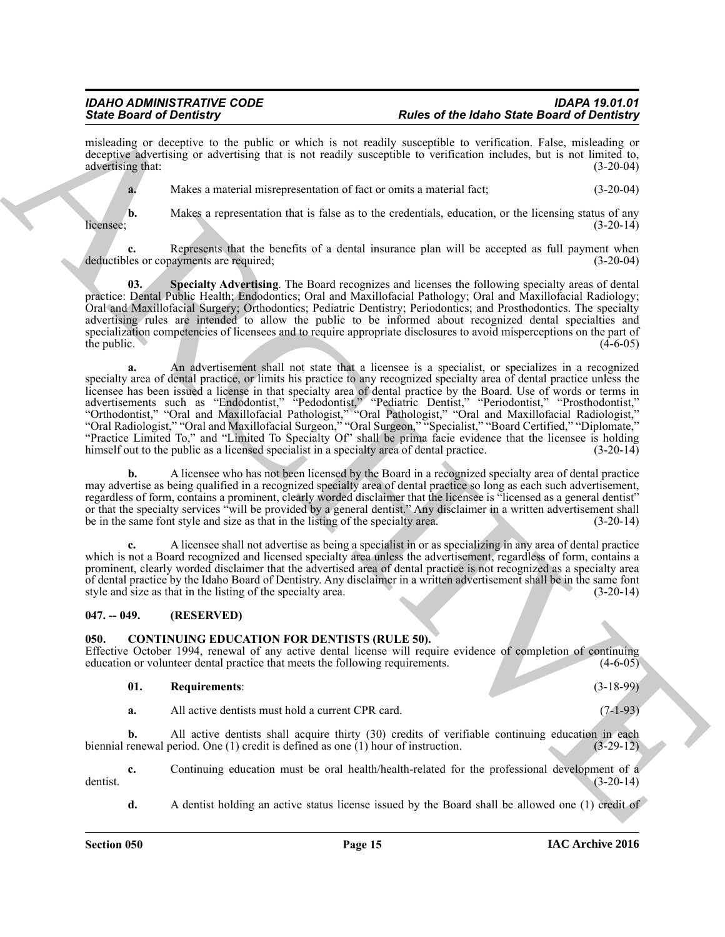misleading or deceptive to the public or which is not readily susceptible to verification. False, misleading or deceptive advertising or advertising that is not readily susceptible to verification includes, but is not limited to, advertising that: (3-20-04) advertising that:

**a.** Makes a material misrepresentation of fact or omits a material fact; (3-20-04)

**b.** Makes a representation that is false as to the credentials, education, or the licensing status of any (3-20-14) licensee;  $(3-20-14)$ 

**c.** Represents that the benefits of a dental insurance plan will be accepted as full payment when deductibles or copayments are required; (3-20-04)

<span id="page-14-2"></span>**03. Specialty Advertising**. The Board recognizes and licenses the following specialty areas of dental practice: Dental Public Health; Endodontics; Oral and Maxillofacial Pathology; Oral and Maxillofacial Radiology; Oral and Maxillofacial Surgery; Orthodontics; Pediatric Dentistry; Periodontics; and Prosthodontics. The specialty advertising rules are intended to allow the public to be informed about recognized dental specialties and specialization competencies of licensees and to require appropriate disclosures to avoid misperceptions on the part of the public. (4-6-05) the public.  $(4-6-05)$ 

Since Growth Contribute The main fields of the labor of the labor Since Contribute Contribute Contribute Contribute Contribute Contribute Contribute Contribute Contribute Contribute Contribute Contribute Contribute Contri **a.** An advertisement shall not state that a licensee is a specialist, or specializes in a recognized specialty area of dental practice, or limits his practice to any recognized specialty area of dental practice unless the licensee has been issued a license in that specialty area of dental practice by the Board. Use of words or terms in advertisements such as "Endodontist," "Pedodontist," "Pediatric Dentist," "Periodontist," "Prosthodontist," "Orthodontist," "Oral and Maxillofacial Pathologist," "Oral Pathologist," "Oral and Maxillofacial Radiologist," "Oral Radiologist," "Oral and Maxillofacial Surgeon," "Oral Surgeon," "Specialist," "Board Certified," "Diplomate," "Practice Limited To," and "Limited To Specialty Of" shall be prima facie evidence that the licensee is holding himself out to the public as a licensed specialist in a specialty area of dental practice. (3-20-14)

**b.** A licensee who has not been licensed by the Board in a recognized specialty area of dental practice may advertise as being qualified in a recognized specialty area of dental practice so long as each such advertisement, regardless of form, contains a prominent, clearly worded disclaimer that the licensee is "licensed as a general dentist" or that the specialty services "will be provided by a general dentist." Any disclaimer in a written advertisement shall be in the same font style and size as that in the listing of the specialty area. (3-20-14)

**c.** A licensee shall not advertise as being a specialist in or as specializing in any area of dental practice which is not a Board recognized and licensed specialty area unless the advertisement, regardless of form, contains a prominent, clearly worded disclaimer that the advertised area of dental practice is not recognized as a specialty area of dental practice by the Idaho Board of Dentistry. Any disclaimer in a written advertisement shall be in the same font style and size as that in the listing of the specialty area.

# <span id="page-14-0"></span>**047. -- 049. (RESERVED)**

# <span id="page-14-3"></span><span id="page-14-1"></span>**050. CONTINUING EDUCATION FOR DENTISTS (RULE 50).**

Effective October 1994, renewal of any active dental license will require evidence of completion of continuing education or volunteer dental practice that meets the following requirements. (4-6-05) education or volunteer dental practice that meets the following requirements.

# <span id="page-14-4"></span>**01. Requirements**: (3-18-99)

**a.** All active dentists must hold a current CPR card. (7-1-93)

**b.** All active dentists shall acquire thirty (30) credits of verifiable continuing education in each biennial renewal period. One (1) credit is defined as one (1) hour of instruction. (3-29-12)

**c.** Continuing education must be oral health/health-related for the professional development of a (3-20-14) dentist.  $(3-20-14)$ 

**d.** A dentist holding an active status license issued by the Board shall be allowed one (1) credit of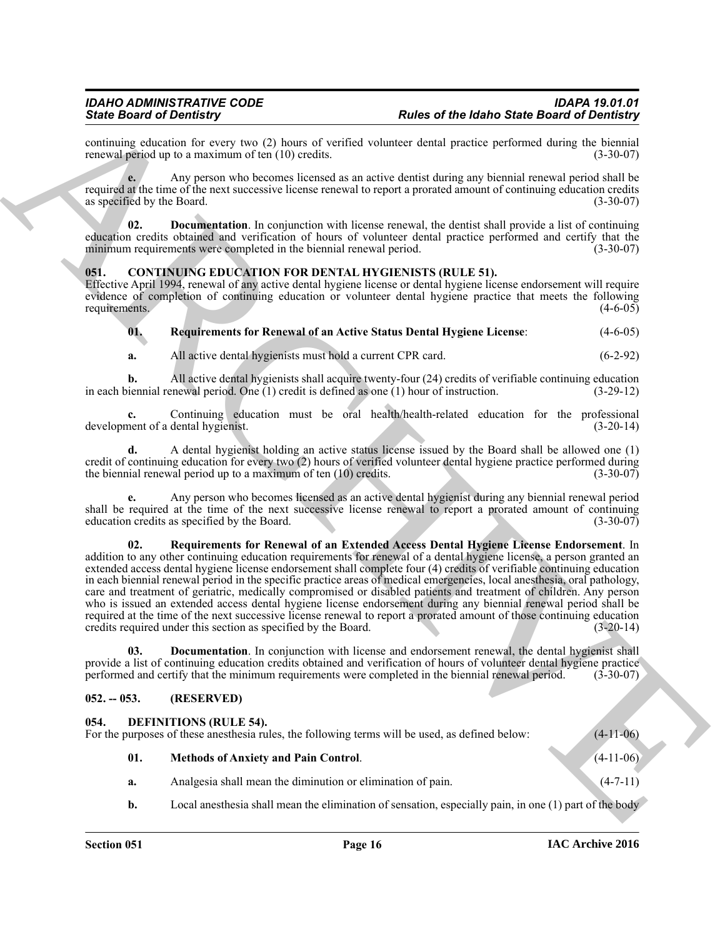continuing education for every two (2) hours of verified volunteer dental practice performed during the biennial renewal period up to a maximum of ten (10) credits. renewal period up to a maximum of ten  $(10)$  credits.

**e.** Any person who becomes licensed as an active dentist during any biennial renewal period shall be required at the time of the next successive license renewal to report a prorated amount of continuing education credits as specified by the Board. (3-30-07)

<span id="page-15-7"></span>**02. Documentation**. In conjunction with license renewal, the dentist shall provide a list of continuing education credits obtained and verification of hours of volunteer dental practice performed and certify that the minimum requirements were completed in the biennial renewal period. (3-30-07)

# <span id="page-15-3"></span><span id="page-15-0"></span>**051. CONTINUING EDUCATION FOR DENTAL HYGIENISTS (RULE 51).**

Effective April 1994, renewal of any active dental hygiene license or dental hygiene license endorsement will require evidence of completion of continuing education or volunteer dental hygiene practice that meets the following requirements. (4-6-05)

<span id="page-15-5"></span>**01. Requirements for Renewal of an Active Status Dental Hygiene License**: (4-6-05)

**a.** All active dental hygienists must hold a current CPR card.  $(6-2-92)$ 

**b.** All active dental hygienists shall acquire twenty-four (24) credits of verifiable continuing education iennial renewal period. One (1) credit is defined as one (1) hour of instruction. (3-29-12) in each biennial renewal period. One  $(1)$  credit is defined as one  $(1)$  hour of instruction.

**c.** Continuing education must be oral health/health-related education for the professional development of a dental hygienist. (3-20-14)

**d.** A dental hygienist holding an active status license issued by the Board shall be allowed one (1) credit of continuing education for every two  $(2)$  hours of verified volunteer dental hygiene practice performed during the biennial renewal period up to a maximum of ten  $(10)$  credits.  $(3-30-07)$ the biennial renewal period up to a maximum of ten  $(10)$  credits.

<span id="page-15-6"></span>**e.** Any person who becomes licensed as an active dental hygienist during any biennial renewal period shall be required at the time of the next successive license renewal to report a prorated amount of continuing education credits as specified by the Board. (3-30-07) education credits as specified by the Board.

Finds **One of the based of the blanch Sheet Board of Denter Controlline (Sheet Board of Denter Street Board of Denter<br>
Society and**  $\mu$  **becomes the board of the control of the based ones are selected and the process of th 02. Requirements for Renewal of an Extended Access Dental Hygiene License Endorsement**. In addition to any other continuing education requirements for renewal of a dental hygiene license, a person granted an extended access dental hygiene license endorsement shall complete four (4) credits of verifiable continuing education in each biennial renewal period in the specific practice areas of medical emergencies, local anesthesia, oral pathology, care and treatment of geriatric, medically compromised or disabled patients and treatment of children. Any person who is issued an extended access dental hygiene license endorsement during any biennial renewal period shall be required at the time of the next successive license renewal to report a prorated amount of those continuing education credits required under this section as specified by the Board. (3-20-14) credits required under this section as specified by the Board.

<span id="page-15-4"></span>**03. Documentation**. In conjunction with license and endorsement renewal, the dental hygienist shall provide a list of continuing education credits obtained and verification of hours of volunteer dental hygiene practice<br>performed and certify that the minimum requirements were completed in the biennial renewal period. (3-3 performed and certify that the minimum requirements were completed in the biennial renewal period.

# <span id="page-15-8"></span><span id="page-15-1"></span>**052. -- 053. (RESERVED)**

<span id="page-15-2"></span>

| 054. | <b>DEFINITIONS (RULE 54).</b><br>For the purposes of these anesthesia rules, the following terms will be used, as defined below: | $(4-11-06)$                                                 |             |
|------|----------------------------------------------------------------------------------------------------------------------------------|-------------------------------------------------------------|-------------|
|      | 01.                                                                                                                              | <b>Methods of Anxiety and Pain Control.</b>                 | $(4-11-06)$ |
|      | a.                                                                                                                               | Analgesia shall mean the diminution or elimination of pain. | $(4-7-11)$  |

<span id="page-15-9"></span>**b.** Local anesthesia shall mean the elimination of sensation, especially pain, in one (1) part of the body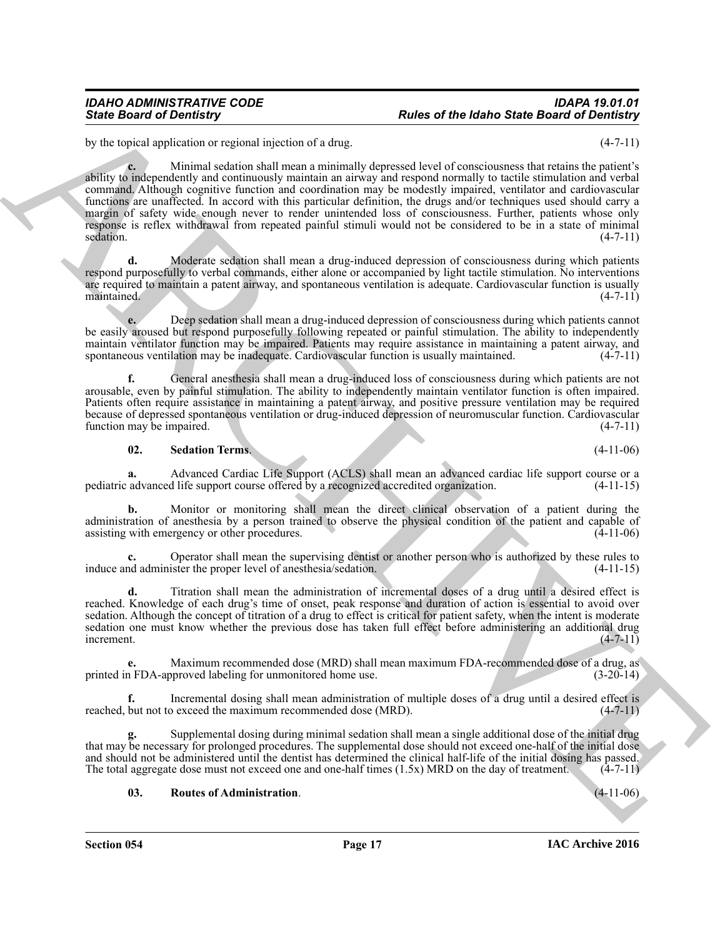by the topical application or regional injection of a drug. (4-7-11)

Since Board of Development of each state of the Idaho Since Board of Development of the China of the China of the China of the China of the China of the China of the China of the China of the China of the China of the Chi **c.** Minimal sedation shall mean a minimally depressed level of consciousness that retains the patient's ability to independently and continuously maintain an airway and respond normally to tactile stimulation and verbal command. Although cognitive function and coordination may be modestly impaired, ventilator and cardiovascular functions are unaffected. In accord with this particular definition, the drugs and/or techniques used should carry a margin of safety wide enough never to render unintended loss of consciousness. Further, patients whose only response is reflex withdrawal from repeated painful stimuli would not be considered to be in a state of minimal sedation. (4-7-11)  $s$ edation.  $(4-7-11)$ 

**d.** Moderate sedation shall mean a drug-induced depression of consciousness during which patients respond purposefully to verbal commands, either alone or accompanied by light tactile stimulation. No interventions are required to maintain a patent airway, and spontaneous ventilation is adequate. Cardiovascular function is usually maintained. (4-7-11) maintained. (4-7-11)

**e.** Deep sedation shall mean a drug-induced depression of consciousness during which patients cannot be easily aroused but respond purposefully following repeated or painful stimulation. The ability to independently maintain ventilator function may be impaired. Patients may require assistance in maintaining a patent airway, and spontaneous ventilation may be inadequate. Cardiovascular function is usually maintained. (4-7-11)

**f.** General anesthesia shall mean a drug-induced loss of consciousness during which patients are not arousable, even by painful stimulation. The ability to independently maintain ventilator function is often impaired. Patients often require assistance in maintaining a patent airway, and positive pressure ventilation may be required because of depressed spontaneous ventilation or drug-induced depression of neuromuscular function. Cardiovascular function may be impaired. (4-7-11)

# <span id="page-16-1"></span>**02. Sedation Terms**. (4-11-06)

**a.** Advanced Cardiac Life Support (ACLS) shall mean an advanced cardiac life support course or a advanced life support course offered by a recognized accredited organization. (4-11-15) pediatric advanced life support course offered by a recognized accredited organization.

**b.** Monitor or monitoring shall mean the direct clinical observation of a patient during the administration of anesthesia by a person trained to observe the physical condition of the patient and capable of assisting with emergency or other procedures. (4-11-06)

**c.** Operator shall mean the supervising dentist or another person who is authorized by these rules to induce and administer the proper level of anesthesia/sedation. (4-11-15)

**d.** Titration shall mean the administration of incremental doses of a drug until a desired effect is reached. Knowledge of each drug's time of onset, peak response and duration of action is essential to avoid over sedation. Although the concept of titration of a drug to effect is critical for patient safety, when the intent is moderate sedation one must know whether the previous dose has taken full effect before administering an additional drug  $\blacksquare$ increment. (4-7-11)

**e.** Maximum recommended dose (MRD) shall mean maximum FDA-recommended dose of a drug, as <br>(3-20-14) a FDA-approved labeling for unmonitored home use. printed in FDA-approved labeling for unmonitored home use.

Incremental dosing shall mean administration of multiple doses of a drug until a desired effect is o exceed the maximum recommended dose (MRD).  $(4-7-11)$ reached, but not to exceed the maximum recommended dose (MRD).

**g.** Supplemental dosing during minimal sedation shall mean a single additional dose of the initial drug that may be necessary for prolonged procedures. The supplemental dose should not exceed one-half of the initial dose and should not be administered until the dentist has determined the clinical half-life of the initial dosing has passed.<br>The total aggregate dose must not exceed one and one-half times  $(1.5x)$  MRD on the day of treatment The total aggregate dose must not exceed one and one-half times  $(1.5x)$  MRD on the day of treatment.

# <span id="page-16-0"></span>**03. Routes of Administration**. (4-11-06)

**Section 054 Page 17**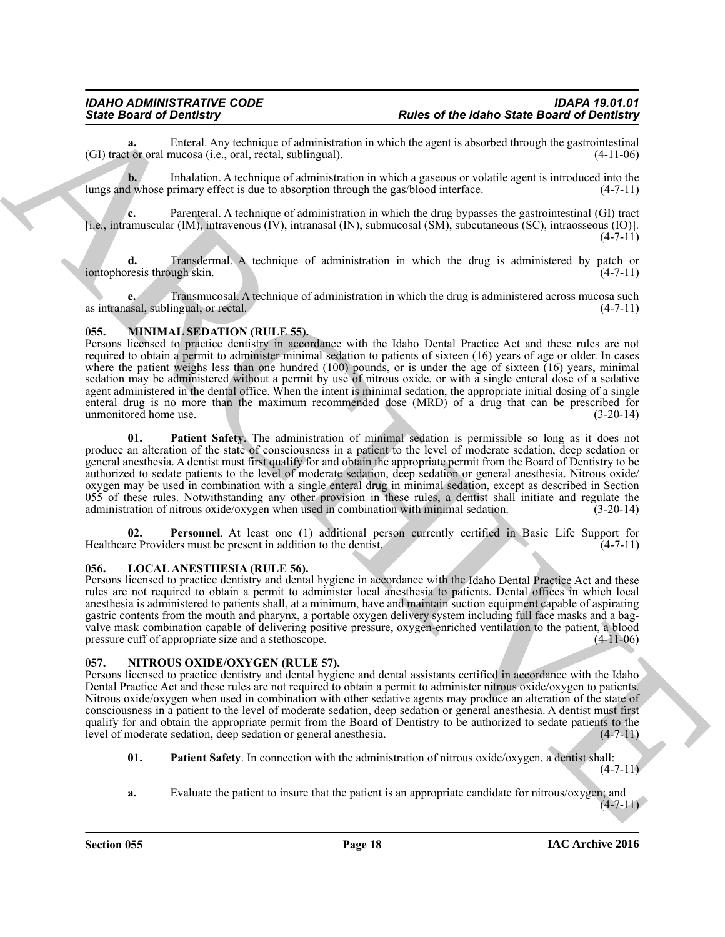**a.** Enteral. Any technique of administration in which the agent is absorbed through the gastrointestinal to roral mucosa (i.e., oral. rectal. sublingual). (4-11-06)  $(GI)$  tract or oral mucosa (i.e., oral, rectal, sublingual).

**b.** Inhalation. A technique of administration in which a gaseous or volatile agent is introduced into the lungs and whose primary effect is due to absorption through the gas/blood interface. (4-7-11)

**c.** Parenteral. A technique of administration in which the drug bypasses the gastrointestinal (GI) tract [i.e., intramuscular (IM), intravenous (IV), intranasal (IN), submucosal (SM), subcutaneous (SC), intraosseous (IO)].  $(4 - 7 - 11)$ 

**d.** Transdermal. A technique of administration in which the drug is administered by patch or resis through skin.  $(4-7-11)$ iontophoresis through skin.

**e.** Transmucosal. A technique of administration in which the drug is administered across mucosa such as intranasal, sublingual, or rectal. (4-7-11)

# <span id="page-17-4"></span><span id="page-17-0"></span>**055. MINIMAL SEDATION (RULE 55).**

<span id="page-17-5"></span>Persons licensed to practice dentistry in accordance with the Idaho Dental Practice Act and these rules are not required to obtain a permit to administer minimal sedation to patients of sixteen (16) years of age or older. In cases where the patient weighs less than one hundred (100) pounds, or is under the age of sixteen  $(16)$  years, minimal sedation may be administered without a permit by use of nitrous oxide, or with a single enteral dose of a sedative agent administered in the dental office. When the intent is minimal sedation, the appropriate initial dosing of a single enteral drug is no more than the maximum recommended dose (MRD) of a drug that can be prescribed for unmonitored home use. unmonitored home use.

Since **Deterior Determines** Architecture and the since of the based of the **Board of Determines**<br>
Ciff using a distance of the based of the since of the based of the based of the since  $\alpha$  in the since  $\alpha$  in the since **01. Patient Safety**. The administration of minimal sedation is permissible so long as it does not produce an alteration of the state of consciousness in a patient to the level of moderate sedation, deep sedation or general anesthesia. A dentist must first qualify for and obtain the appropriate permit from the Board of Dentistry to be authorized to sedate patients to the level of moderate sedation, deep sedation or general anesthesia. Nitrous oxide/ oxygen may be used in combination with a single enteral drug in minimal sedation, except as described in Section 055 of these rules. Notwithstanding any other provision in these rules, a dentist shall initiate and regulate the administration of nitrous oxide/oxygen when used in combination with minimal sedation.  $(3-20-14)$ administration of nitrous oxide/oxygen when used in combination with minimal sedation.

<span id="page-17-6"></span>**02.** Personnel. At least one (1) additional person currently certified in Basic Life Support for re Providers must be present in addition to the dentist. (4-7-11) Healthcare Providers must be present in addition to the dentist.

# <span id="page-17-3"></span><span id="page-17-1"></span>**056. LOCAL ANESTHESIA (RULE 56).**

Persons licensed to practice dentistry and dental hygiene in accordance with the Idaho Dental Practice Act and these rules are not required to obtain a permit to administer local anesthesia to patients. Dental offices in which local anesthesia is administered to patients shall, at a minimum, have and maintain suction equipment capable of aspirating gastric contents from the mouth and pharynx, a portable oxygen delivery system including full face masks and a bagvalve mask combination capable of delivering positive pressure, oxygen-enriched ventilation to the patient, a blood pressure cuff of appropriate size and a stethoscope. (4-11-06)

# <span id="page-17-7"></span><span id="page-17-2"></span>**057. NITROUS OXIDE/OXYGEN (RULE 57).**

Persons licensed to practice dentistry and dental hygiene and dental assistants certified in accordance with the Idaho Dental Practice Act and these rules are not required to obtain a permit to administer nitrous oxide/oxygen to patients. Nitrous oxide/oxygen when used in combination with other sedative agents may produce an alteration of the state of consciousness in a patient to the level of moderate sedation, deep sedation or general anesthesia. A dentist must first qualify for and obtain the appropriate permit from the Board of Dentistry to be authorized to sedate patients to the level of moderate sedation, deep sedation or general anesthesia.  $(4-7-11)$ level of moderate sedation, deep sedation or general anesthesia.

<span id="page-17-8"></span>**01. Patient Safety**. In connection with the administration of nitrous oxide/oxygen, a dentist shall:

 $(4 - 7 - 11)$ 

**a.** Evaluate the patient to insure that the patient is an appropriate candidate for nitrous/oxygen; and

 $(4-7-11)$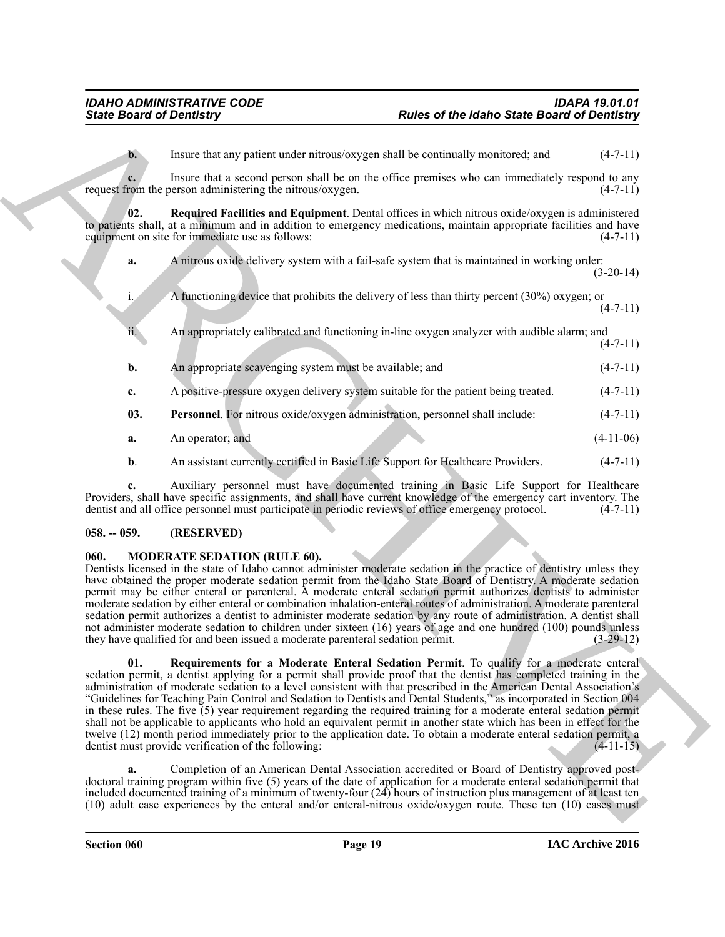<span id="page-18-5"></span>**b.** Insure that any patient under nitrous/oxygen shall be continually monitored; and  $(4-7-11)$ 

**c.** Insure that a second person shall be on the office premises who can immediately respond to any request from the person administering the nitrous/oxygen.  $(4-7-11)$ 

**02. Required Facilities and Equipment**. Dental offices in which nitrous oxide/oxygen is administered to patients shall, at a minimum and in addition to emergency medications, maintain appropriate facilities and have<br>equipment on site for immediate use as follows: (4-7-11) equipment on site for immediate use as follows:

**a.** A nitrous oxide delivery system with a fail-safe system that is maintained in working order: (3-20-14)

- Sinks Board of Develops C.<br>
Uniter that any points interactive procedure of the basis of the Board of Develops (2)<br>
Linear that a species procedure interactive procedure into the control of the species of the species of t A functioning device that prohibits the delivery of less than thirty percent  $(30\%)$  oxygen; or  $(4 - 7 - 11)$ ii. An appropriately calibrated and functioning in-line oxygen analyzer with audible alarm; and  $(4 - 7 - 11)$ **b.** An appropriate scavenging system must be available; and  $(4-7-11)$ **c.** A positive-pressure oxygen delivery system suitable for the patient being treated.  $(4-7-11)$ **03. Personnel**. For nitrous oxide/oxygen administration, personnel shall include:  $(4-7-11)$ 
	- **a.** An operator; and (4-11-06)
	- **b.** An assistant currently certified in Basic Life Support for Healthcare Providers. (4-7-11)

<span id="page-18-4"></span>**c.** Auxiliary personnel must have documented training in Basic Life Support for Healthcare Providers, shall have specific assignments, and shall have current knowledge of the emergency cart inventory. The dentist and all office personnel must participate in periodic reviews of office emergency protocol. (4-7-11) dentist and all office personnel must participate in periodic reviews of office emergency protocol.

# <span id="page-18-0"></span>**058. -- 059. (RESERVED)**

# <span id="page-18-2"></span><span id="page-18-1"></span>**060. MODERATE SEDATION (RULE 60).**

Dentists licensed in the state of Idaho cannot administer moderate sedation in the practice of dentistry unless they have obtained the proper moderate sedation permit from the Idaho State Board of Dentistry. A moderate sedation permit may be either enteral or parenteral. A moderate enteral sedation permit authorizes dentists to administer moderate sedation by either enteral or combination inhalation-enteral routes of administration. A moderate parenteral sedation permit authorizes a dentist to administer moderate sedation by any route of administration. A dentist shall not administer moderate sedation to children under sixteen (16) years of age and one hundred (100) pounds unless they have qualified for and been issued a moderate parenteral sedation permit. (3-29-12)

<span id="page-18-3"></span>**01. Requirements for a Moderate Enteral Sedation Permit**. To qualify for a moderate enteral sedation permit, a dentist applying for a permit shall provide proof that the dentist has completed training in the administration of moderate sedation to a level consistent with that prescribed in the American Dental Association's "Guidelines for Teaching Pain Control and Sedation to Dentists and Dental Students," as incorporated in Section 004 in these rules. The five (5) year requirement regarding the required training for a moderate enteral sedation permit shall not be applicable to applicants who hold an equivalent permit in another state which has been in effect for the twelve (12) month period immediately prior to the application date. To obtain a moderate enteral sedation permit, a dentist must provide verification of the following: (4-11-15)

**a.** Completion of an American Dental Association accredited or Board of Dentistry approved postdoctoral training program within five (5) years of the date of application for a moderate enteral sedation permit that included documented training of a minimum of twenty-four (24) hours of instruction plus management of at least ten (10) adult case experiences by the enteral and/or enteral-nitrous oxide/oxygen route. These ten (10) cases must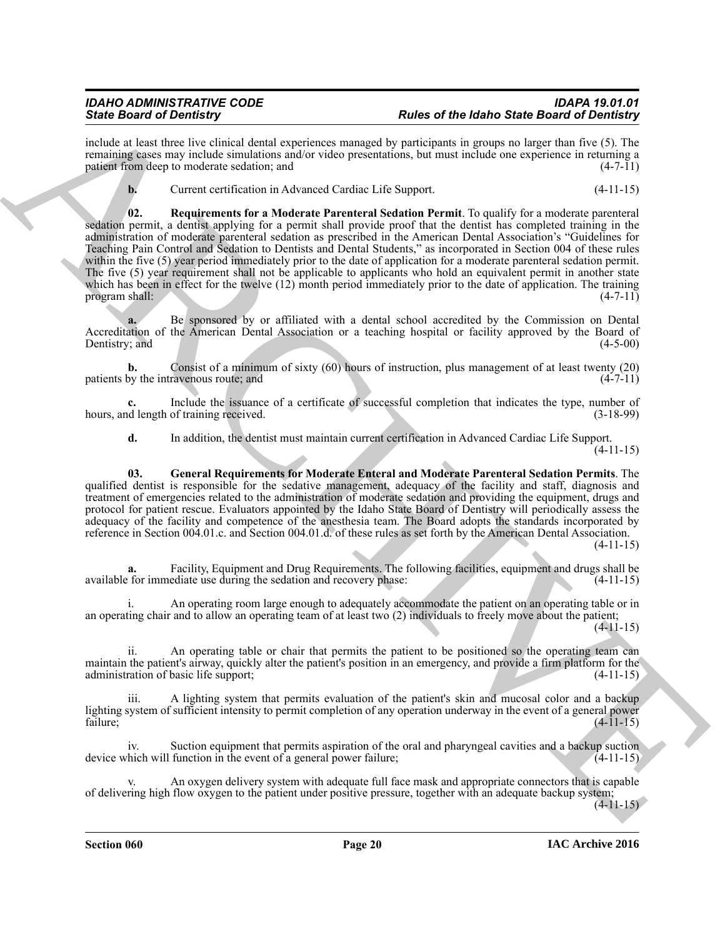include at least three live clinical dental experiences managed by participants in groups no larger than five (5). The remaining cases may include simulations and/or video presentations, but must include one experience in returning a patient from deep to moderate sedation; and (4-7-11) patient from deep to moderate sedation; and

<span id="page-19-1"></span>**b.** Current certification in Advanced Cardiac Life Support. (4-11-15)

Since the other is the content of the state of the state of the state of the content of the content of the content of the state of the content of the content of the content of the content of the content of the content of **02. Requirements for a Moderate Parenteral Sedation Permit**. To qualify for a moderate parenteral sedation permit, a dentist applying for a permit shall provide proof that the dentist has completed training in the administration of moderate parenteral sedation as prescribed in the American Dental Association's "Guidelines for Teaching Pain Control and Sedation to Dentists and Dental Students," as incorporated in Section 004 of these rules within the five (5) year period immediately prior to the date of application for a moderate parenteral sedation permit. The five (5) year requirement shall not be applicable to applicants who hold an equivalent permit in another state which has been in effect for the twelve (12) month period immediately prior to the date of application. The training program shall: (4-7-11) program shall:

**a.** Be sponsored by or affiliated with a dental school accredited by the Commission on Dental Accreditation of the American Dental Association or a teaching hospital or facility approved by the Board of Dentistry; and (4-5-00) Dentistry; and

**b.** Consist of a minimum of sixty (60) hours of instruction, plus management of at least twenty (20) by the intravenous route: and (4-7-11) patients by the intravenous route; and

**c.** Include the issuance of a certificate of successful completion that indicates the type, number of dength of training received.  $(3-18-99)$ hours, and length of training received.

<span id="page-19-0"></span>**d.** In addition, the dentist must maintain current certification in Advanced Cardiac Life Support.

(4-11-15)

**03. General Requirements for Moderate Enteral and Moderate Parenteral Sedation Permits**. The qualified dentist is responsible for the sedative management, adequacy of the facility and staff, diagnosis and treatment of emergencies related to the administration of moderate sedation and providing the equipment, drugs and protocol for patient rescue. Evaluators appointed by the Idaho State Board of Dentistry will periodically assess the adequacy of the facility and competence of the anesthesia team. The Board adopts the standards incorporated by reference in Section 004.01.c. and Section 004.01.d. of these rules as set forth by the American Dental Association. (4-11-15)

**a.** Facility, Equipment and Drug Requirements. The following facilities, equipment and drugs shall be for immediate use during the sedation and recovery phase: (4-11-15) available for immediate use during the sedation and recovery phase:

i. An operating room large enough to adequately accommodate the patient on an operating table or in an operating chair and to allow an operating team of at least two (2) individuals to freely move about the patient;

(4-11-15)

ii. An operating table or chair that permits the patient to be positioned so the operating team can maintain the patient's airway, quickly alter the patient's position in an emergency, and provide a firm platform for the administration of basic life support; (4-11-15) administration of basic life support;

A lighting system that permits evaluation of the patient's skin and mucosal color and a backup lighting system of sufficient intensity to permit completion of any operation underway in the event of a general power<br>failure: (4-11-15) failure; (4-11-15)

Suction equipment that permits aspiration of the oral and pharyngeal cavities and a backup suction function in the event of a general power failure; (4-11-15) device which will function in the event of a general power failure;

An oxygen delivery system with adequate full face mask and appropriate connectors that is capable of delivering high flow oxygen to the patient under positive pressure, together with an adequate backup system;

 $(4-11-15)$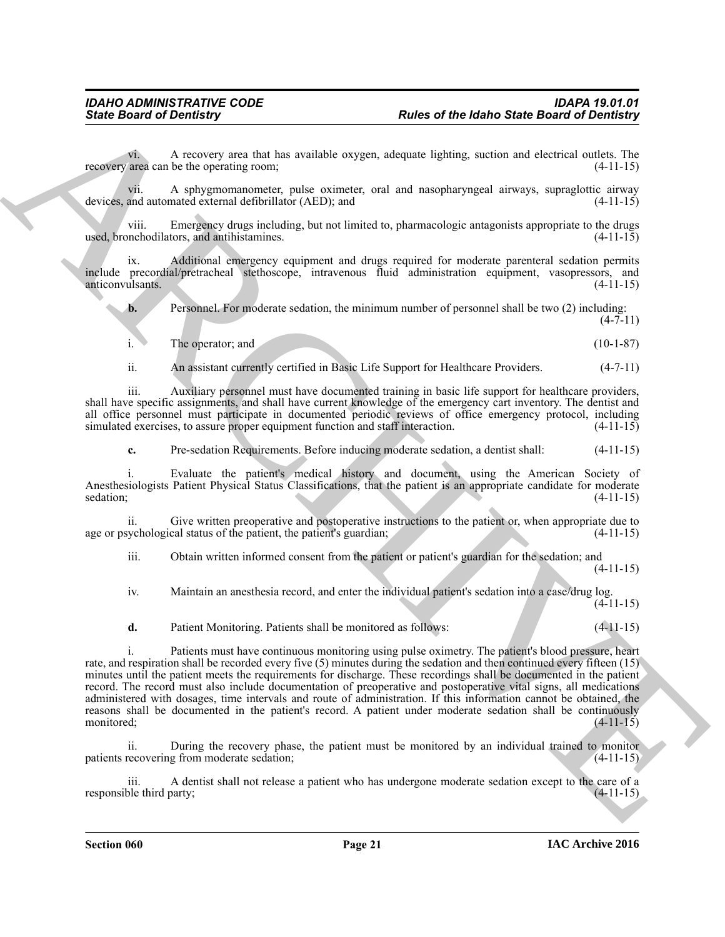vi. A recovery area that has available oxygen, adequate lighting, suction and electrical outlets. The recovery area can be the operating room;

vii. A sphygmomanometer, pulse oximeter, oral and nasopharyngeal airways, supraglottic airway devices, and automated external defibrillator (AED); and

viii. Emergency drugs including, but not limited to, pharmacologic antagonists appropriate to the drugs used, bronchodilators, and antihistamines.

ix. Additional emergency equipment and drugs required for moderate parenteral sedation permits include precordial/pretracheal stethoscope, intravenous fluid administration equipment, vasopressors, and anticonvulsants.

**b.** Personnel. For moderate sedation, the minimum number of personnel shall be two (2) including:  $(4 - 7 - 11)$ 

| The operator; and | $(10-1-87)$ |
|-------------------|-------------|
|                   |             |

ii. An assistant currently certified in Basic Life Support for Healthcare Providers. (4-7-11)

iii. Auxiliary personnel must have documented training in basic life support for healthcare providers, shall have specific assignments, and shall have current knowledge of the emergency cart inventory. The dentist and all office personnel must participate in documented periodic reviews of office emergency protocol, including simulated exercises, to assure proper equipment function and staff interaction.  $(4-11-15)$ 

**c.** Pre-sedation Requirements. Before inducing moderate sedation, a dentist shall: (4-11-15)

i. Evaluate the patient's medical history and document, using the American Society of Anesthesiologists Patient Physical Status Classifications, that the patient is an appropriate candidate for moderate sedation;  $(4-11-15)$ 

Give written preoperative and postoperative instructions to the patient or, when appropriate due to age or psychological status of the patient, the patient's guardian; (4-11-15)

iii. Obtain written informed consent from the patient or patient's guardian for the sedation; and

(4-11-15)

iv. Maintain an anesthesia record, and enter the individual patient's sedation into a case/drug log.  $(4 - 11 - 15)$ 

**d.** Patient Monitoring. Patients shall be monitored as follows: (4-11-15)

**Sinki Board of Developing Contact Contact exclude to expand a solution of the Board of Developing Contact Contact Contact Contact Contact Contact Contact Contact Contact Contact Contact Contact Contact Contact Contact Co** i. Patients must have continuous monitoring using pulse oximetry. The patient's blood pressure, heart rate, and respiration shall be recorded every five (5) minutes during the sedation and then continued every fifteen (15) minutes until the patient meets the requirements for discharge. These recordings shall be documented in the patient record. The record must also include documentation of preoperative and postoperative vital signs, all medications administered with dosages, time intervals and route of administration. If this information cannot be obtained, the reasons shall be documented in the patient's record. A patient under moderate sedation shall be continuously monitored;<br>(4-11-15) monitored; (4-11-15)

During the recovery phase, the patient must be monitored by an individual trained to monitor g from moderate sedation;  $(4-11-15)$ patients recovering from moderate sedation;

iii. A dentist shall not release a patient who has undergone moderate sedation except to the care of a ble third party; (4-11-15) responsible third party;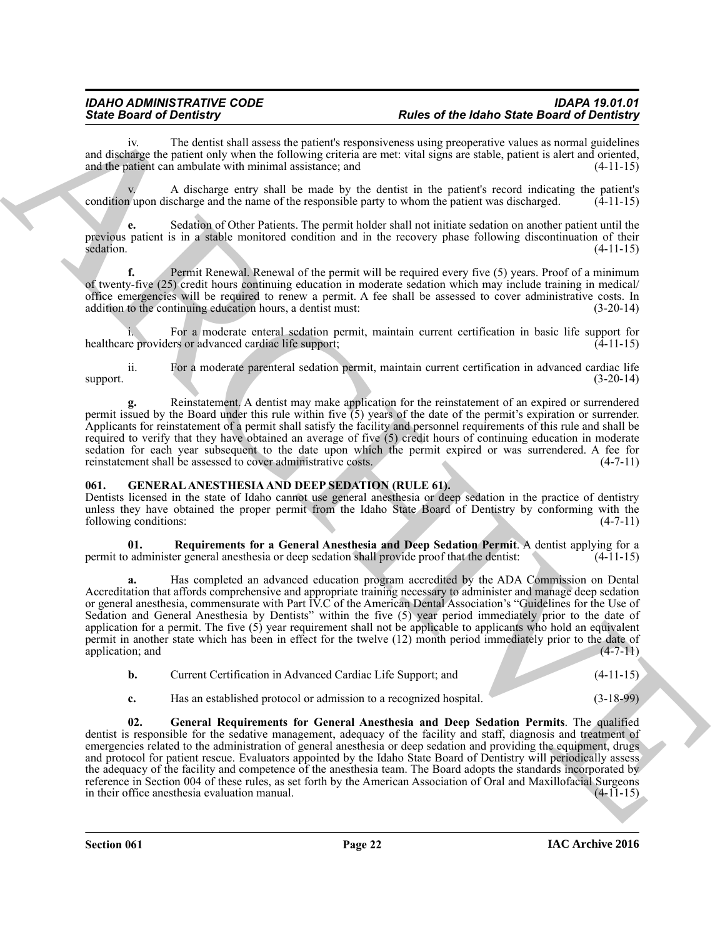The dentist shall assess the patient's responsiveness using preoperative values as normal guidelines and discharge the patient only when the following criteria are met: vital signs are stable, patient is alert and oriented, and the patient can ambulate with minimal assistance; and  $(4-11-15)$ 

v. A discharge entry shall be made by the dentist in the patient's record indicating the patient's condition upon discharge and the name of the responsible party to whom the patient was discharged. (4-11-15)

**e.** Sedation of Other Patients. The permit holder shall not initiate sedation on another patient until the previous patient is in a stable monitored condition and in the recovery phase following discontinuation of their sedation.  $(4-11-15)$ 

**f.** Permit Renewal. Renewal of the permit will be required every five (5) years. Proof of a minimum of twenty-five (25) credit hours continuing education in moderate sedation which may include training in medical/ office emergencies will be required to renew a permit. A fee shall be assessed to cover administrative costs. In addition to the continuing education hours, a dentist must:  $(3-20-14)$ 

For a moderate enteral sedation permit, maintain current certification in basic life support for ers or advanced cardiac life support; healthcare providers or advanced cardiac life support;

ii. For a moderate parenteral sedation permit, maintain current certification in advanced cardiac life support.  $(3-20-14)$ 

**g.** Reinstatement. A dentist may make application for the reinstatement of an expired or surrendered permit issued by the Board under this rule within five  $(5)$  years of the date of the permit's expiration or surrender. Applicants for reinstatement of a permit shall satisfy the facility and personnel requirements of this rule and shall be required to verify that they have obtained an average of five (5) credit hours of continuing education in moderate sedation for each year subsequent to the date upon which the permit expired or was surrendered. A fee for reinstatement shall be assessed to cover administrative costs. (4-7-11) reinstatement shall be assessed to cover administrative costs.

# <span id="page-21-1"></span><span id="page-21-0"></span>**061. GENERAL ANESTHESIA AND DEEP SEDATION (RULE 61).**

Dentists licensed in the state of Idaho cannot use general anesthesia or deep sedation in the practice of dentistry unless they have obtained the proper permit from the Idaho State Board of Dentistry by conforming with the following conditions: (4-7-11) following conditions:

<span id="page-21-3"></span>**01. Requirements for a General Anesthesia and Deep Sedation Permit**. A dentist applying for a permit to administer general anesthesia or deep sedation shall provide proof that the dentist:

Since Board of Decretis and the post-air materials of the the of the following field of the Board of Decretis and the control of the Board of the Board of the Board of the Board of the Board of the Board of the Board of t **a.** Has completed an advanced education program accredited by the ADA Commission on Dental Accreditation that affords comprehensive and appropriate training necessary to administer and manage deep sedation or general anesthesia, commensurate with Part IV.C of the American Dental Association's "Guidelines for the Use of Sedation and General Anesthesia by Dentists" within the five (5) year period immediately prior to the date of application for a permit. The five (5) year requirement shall not be applicable to applicants who hold an equivalent permit in another state which has been in effect for the twelve (12) month period immediately prior to the date of application; and (4-7-11) application; and

| Current Certification in Advanced Cardiac Life Support; and | $(4-11-15)$ |
|-------------------------------------------------------------|-------------|
|                                                             |             |

<span id="page-21-2"></span>**c.** Has an established protocol or admission to a recognized hospital. (3-18-99)

**02. General Requirements for General Anesthesia and Deep Sedation Permits**. The qualified dentist is responsible for the sedative management, adequacy of the facility and staff, diagnosis and treatment of emergencies related to the administration of general anesthesia or deep sedation and providing the equipment, drugs and protocol for patient rescue. Evaluators appointed by the Idaho State Board of Dentistry will periodically assess the adequacy of the facility and competence of the anesthesia team. The Board adopts the standards incorporated by reference in Section 004 of these rules, as set forth by the American Association of Oral and Maxillofacial Surgeons<br>in their office anesthesia evaluation manual. in their office anesthesia evaluation manual.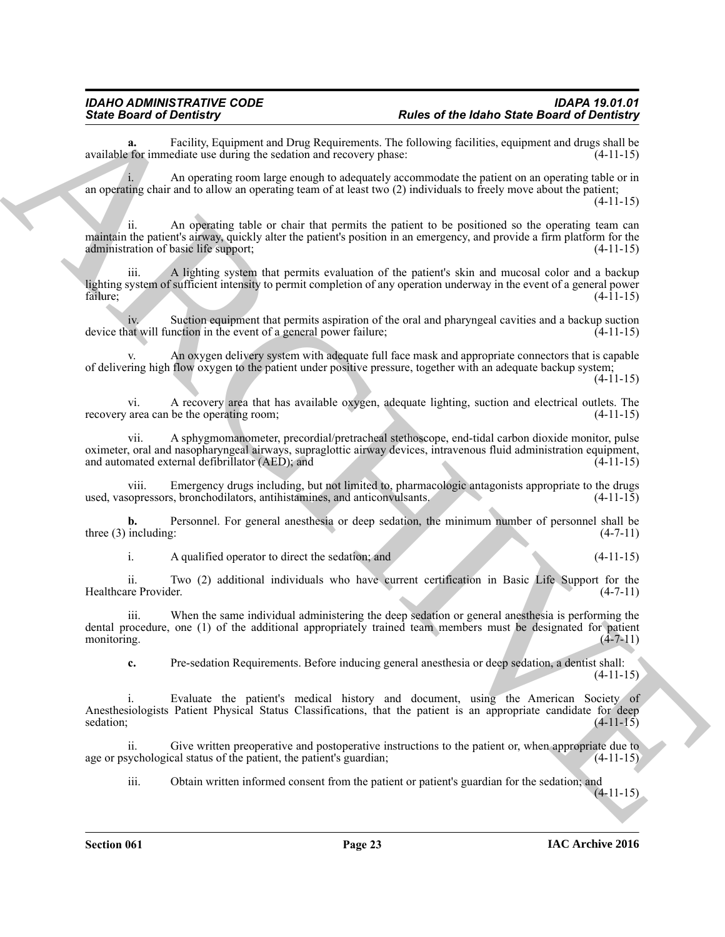**a.** Facility, Equipment and Drug Requirements. The following facilities, equipment and drugs shall be refore immediate use during the sedation and recovery phase: available for immediate use during the sedation and recovery phase:

An operating room large enough to adequately accommodate the patient on an operating table or in an operating chair and to allow an operating team of at least two (2) individuals to freely move about the patient;

(4-11-15)

ii. An operating table or chair that permits the patient to be positioned so the operating team can maintain the patient's airway, quickly alter the patient's position in an emergency, and provide a firm platform for the administration of basic life support; (4-11-15)

iii. A lighting system that permits evaluation of the patient's skin and mucosal color and a backup lighting system of sufficient intensity to permit completion of any operation underway in the event of a general power failure; (4-11-15)

iv. Suction equipment that permits aspiration of the oral and pharyngeal cavities and a backup suction at will function in the event of a general power failure; (4-11-15) device that will function in the event of a general power failure;

An oxygen delivery system with adequate full face mask and appropriate connectors that is capable of delivering high flow oxygen to the patient under positive pressure, together with an adequate backup system;

(4-11-15)

vi. A recovery area that has available oxygen, adequate lighting, suction and electrical outlets. The recovery area can be the operating room; (4-11-15)

vii. A sphygmomanometer, precordial/pretracheal stethoscope, end-tidal carbon dioxide monitor, pulse oximeter, oral and nasopharyngeal airways, supraglottic airway devices, intravenous fluid administration equipment, and automated external defibrillator (AED); and  $(4-11-15)$ 

viii. Emergency drugs including, but not limited to, pharmacologic antagonists appropriate to the drugs sopressors, bronchodilators, antihistamines, and anticonvulsants. (4-11-15) used, vasopressors, bronchodilators, antihistamines, and anticonvulsants.

**b.** Personnel. For general anesthesia or deep sedation, the minimum number of personnel shall be three (3) including:  $(4-7-11)$ 

i. A qualified operator to direct the sedation; and (4-11-15)

ii. Two (2) additional individuals who have current certification in Basic Life Support for the Healthcare Provider.

Since Board of Demotity counter and but the theoretical and control of the since Board of Demotity counter and the since Board of Demotity counter and the specific counter and the specific counter and the specific counter iii. When the same individual administering the deep sedation or general anesthesia is performing the dental procedure, one (1) of the additional appropriately trained team members must be designated for patient monitoring. (4-7-11)

**c.** Pre-sedation Requirements. Before inducing general anesthesia or deep sedation, a dentist shall:  $(4-11-15)$ 

i. Evaluate the patient's medical history and document, using the American Society of Anesthesiologists Patient Physical Status Classifications, that the patient is an appropriate candidate for deep sedation; (4-11-15) sedation;  $(4-11-15)$ 

Give written preoperative and postoperative instructions to the patient or, when appropriate due to cal status of the patient, the patient's guardian;  $(4-11-15)$ age or psychological status of the patient, the patient's guardian;

iii. Obtain written informed consent from the patient or patient's guardian for the sedation; and

 $(4-11-15)$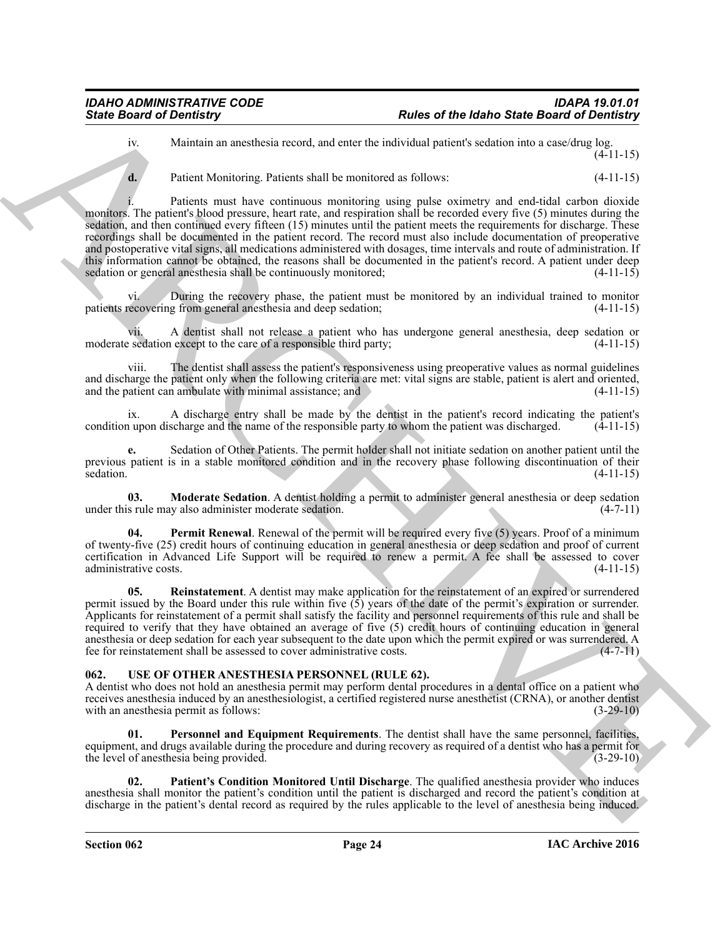iv. Maintain an anesthesia record, and enter the individual patient's sedation into a case/drug log.  $(4 - 11 - 15)$ 

**d.** Patient Monitoring. Patients shall be monitored as follows:  $(4-11-15)$ 

Since Board of Development and used to the since Board of Beatles Since Board of Development and the Since Board of Development and the Since Board of Development and the Since Board of Development and the Since Board of i. Patients must have continuous monitoring using pulse oximetry and end-tidal carbon dioxide monitors. The patient's blood pressure, heart rate, and respiration shall be recorded every five (5) minutes during the sedation, and then continued every fifteen (15) minutes until the patient meets the requirements for discharge. These recordings shall be documented in the patient record. The record must also include documentation of preoperative and postoperative vital signs, all medications administered with dosages, time intervals and route of administration. If this information cannot be obtained, the reasons shall be documented in the patient's record. A patient under deep sedation or general anesthesia shall be continuously monitored; (4-11-15) (4-11-15)

During the recovery phase, the patient must be monitored by an individual trained to monitor patients recovering from general anesthesia and deep sedation; (4-11-15)

vii. A dentist shall not release a patient who has undergone general anesthesia, deep sedation or moderate sedation except to the care of a responsible third party;

viii. The dentist shall assess the patient's responsiveness using preoperative values as normal guidelines and discharge the patient only when the following criteria are met: vital signs are stable, patient is alert and oriented, and the patient can ambulate with minimal assistance; and (4-11-15) and the patient can ambulate with minimal assistance; and

A discharge entry shall be made by the dentist in the patient's record indicating the patient's condition upon discharge and the name of the responsible party to whom the patient was discharged.  $(4-11-15)$ 

**e.** Sedation of Other Patients. The permit holder shall not initiate sedation on another patient until the previous patient is in a stable monitored condition and in the recovery phase following discontinuation of their<br>  $(4-11-15)$ sedation.  $(4-11-15)$ 

<span id="page-23-1"></span>**03. Moderate Sedation**. A dentist holding a permit to administer general anesthesia or deep sedation s rule may also administer moderate sedation. (4-7-11) under this rule may also administer moderate sedation.

<span id="page-23-2"></span>**04. Permit Renewal**. Renewal of the permit will be required every five (5) years. Proof of a minimum of twenty-five (25) credit hours of continuing education in general anesthesia or deep sedation and proof of current certification in Advanced Life Support will be required to renew a permit. A fee shall be assessed to cover administrative costs. (4-11-15)

<span id="page-23-3"></span>**05. Reinstatement**. A dentist may make application for the reinstatement of an expired or surrendered permit issued by the Board under this rule within five  $(5)$  years of the date of the permit's expiration or surrender. Applicants for reinstatement of a permit shall satisfy the facility and personnel requirements of this rule and shall be required to verify that they have obtained an average of five (5) credit hours of continuing education in general anesthesia or deep sedation for each year subsequent to the date upon which the permit expired or was surrendered. A fee for reinstatement shall be assessed to cover administrative costs. (4-7-11) fee for reinstatement shall be assessed to cover administrative costs.

# <span id="page-23-4"></span><span id="page-23-0"></span>**062. USE OF OTHER ANESTHESIA PERSONNEL (RULE 62).**

A dentist who does not hold an anesthesia permit may perform dental procedures in a dental office on a patient who receives anesthesia induced by an anesthesiologist, a certified registered nurse anesthetist (CRNA), or another dentist with an anesthesia permit as follows: (3-29-10) with an anesthesia permit as follows:

<span id="page-23-6"></span>**01. Personnel and Equipment Requirements**. The dentist shall have the same personnel, facilities, equipment, and drugs available during the procedure and during recovery as required of a dentist who has a permit for the level of anesthesia being provided. (3-29-10) the level of anesthesia being provided.

<span id="page-23-5"></span>**02. Patient's Condition Monitored Until Discharge**. The qualified anesthesia provider who induces anesthesia shall monitor the patient's condition until the patient is discharged and record the patient's condition at discharge in the patient's dental record as required by the rules applicable to the level of anesthesia being induced.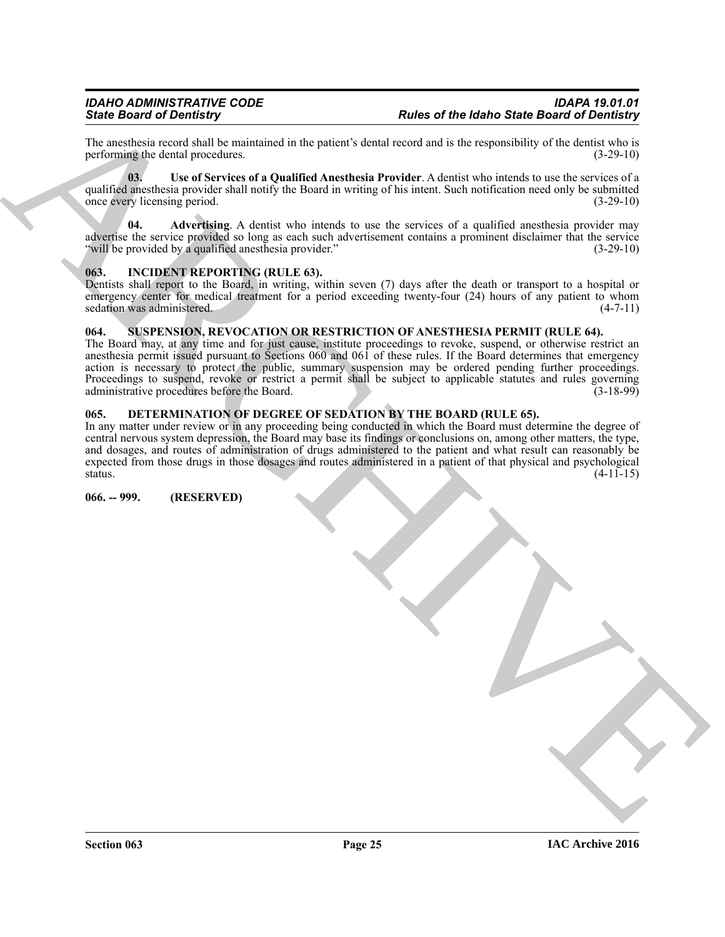The anesthesia record shall be maintained in the patient's dental record and is the responsibility of the dentist who is performing the dental procedures. (3-29-10) performing the dental procedures.

<span id="page-24-8"></span>**03. Use of Services of a Qualified Anesthesia Provider**. A dentist who intends to use the services of a qualified anesthesia provider shall notify the Board in writing of his intent. Such notification need only be submitted once every licensing period. (3-29-10) once every licensing period.

<span id="page-24-7"></span>Advertising. A dentist who intends to use the services of a qualified anesthesia provider may advertise the service provided so long as each such advertisement contains a prominent disclaimer that the service "will be provided by a qualified anesthesia provider." (3-29-10)

# <span id="page-24-5"></span><span id="page-24-0"></span>**063. INCIDENT REPORTING (RULE 63).**

Dentists shall report to the Board, in writing, within seven (7) days after the death or transport to a hospital or emergency center for medical treatment for a period exceeding twenty-four (24) hours of any patient to whom sedation was administered. (4-7-11)

# <span id="page-24-6"></span><span id="page-24-1"></span>**064. SUSPENSION, REVOCATION OR RESTRICTION OF ANESTHESIA PERMIT (RULE 64).**

Finite Brazilian at The Contribution of the United State Based of the Based of The Contribution of Dentisian and the Contribution of the Contribution of the Contribution of the Contribution of the Contribution of the Cont The Board may, at any time and for just cause, institute proceedings to revoke, suspend, or otherwise restrict an anesthesia permit issued pursuant to Sections 060 and 061 of these rules. If the Board determines that emergency action is necessary to protect the public, summary suspension may be ordered pending further proceedings. Proceedings to suspend, revoke or restrict a permit shall be subject to applicable statutes and rules governing administrative procedures before the Board. administrative procedures before the Board.

# <span id="page-24-4"></span><span id="page-24-2"></span>**065. DETERMINATION OF DEGREE OF SEDATION BY THE BOARD (RULE 65).**

In any matter under review or in any proceeding being conducted in which the Board must determine the degree of central nervous system depression, the Board may base its findings or conclusions on, among other matters, the type, and dosages, and routes of administration of drugs administered to the patient and what result can reasonably be expected from those drugs in those dosages and routes administered in a patient of that physical and psychological status. (4-11-15) status.  $(4-11-15)$ 

<span id="page-24-3"></span>**066. -- 999. (RESERVED)**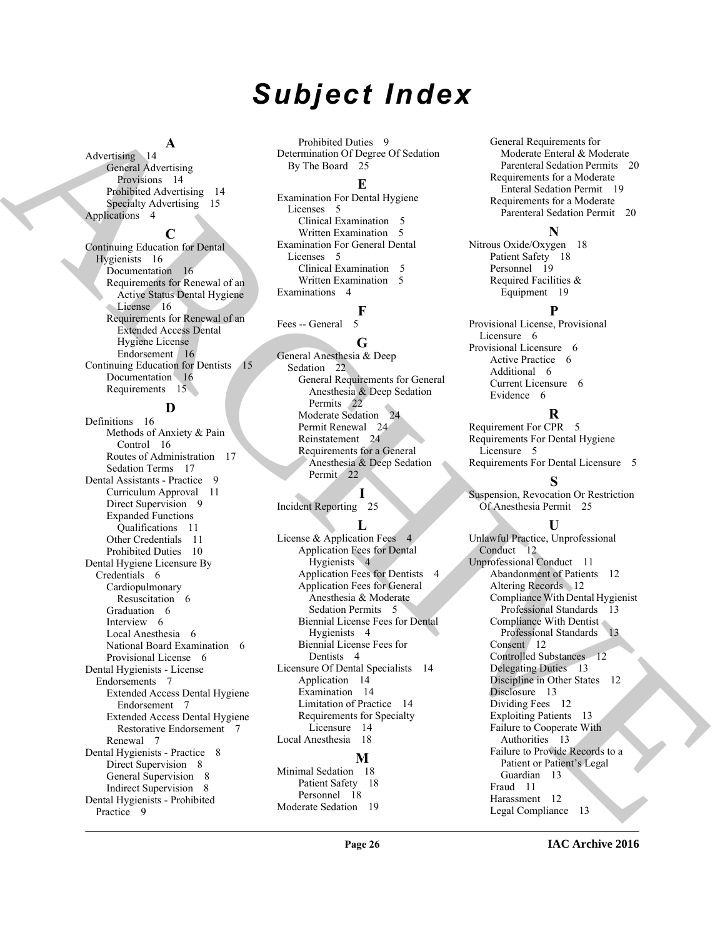# *Subject Index*

# **A**

Advertising 14 General Advertising Provisions 14 Prohibited Advertising 14 Specialty Advertising 15 Applications 4

### **C**

Continuing Education for Dental Hygienists 16 Documentation 16 Requirements for Renewal of an Active Status Dental Hygiene License 16 Requirements for Renewal of an Extended Access Dental Hygiene License Endorsement 16 Continuing Education for Dentists 15 Documentation 16 Requirements 15

# **D**

[A](#page-15-3)dvertising A<br>
A considerably the material of the state of the state of the state of the state of the state of the state of the state of the state of the state of the state of the state of the state of the state of the st Definitions 16 Methods of Anxiety & Pain Control 16 Routes of Administration 17 Sedation Terms 17 Dental Assistants - Practice 9 Curriculum Approval 11 Direct Supervision 9 Expanded Functions Qualifications 11 Other Credentials 11 Prohibited Duties 10 Dental Hygiene Licensure By Credentials 6 Cardiopulmonary Resuscitation 6 Graduation 6 Interview 6 Local Anesthesia 6 National Board Examination 6 Provisional License 6 Dental Hygienists - License Endorsements 7 Extended Access Dental Hygiene Endorsement 7 Extended Access Dental Hygiene Restorative Endorsement 7 Renewal 7 Dental Hygienists - Practice 8 Direct Supervision 8 General Supervision 8 Indirect Supervision 8 Dental Hygienists - Prohibited Practice 9

Prohibited Duties 9 Determination Of Degree Of Sedation By The Board 25

# **E**

Examination For Dental Hygiene Licenses 5 Clinical Examination 5 Written Examination 5 Examination For General Dental Licenses 5 Clinical Examination 5 Written Examination 5 Examinations 4

**F** Fees -- General

# **G**

General Anesthesia & Deep Sedation 22 General Requirements for General Anesthesia & Deep Sedation Permits 22 Moderate Sedation 24 Permit Renewal 24 Reinstatement 24 Requirements for a General Anesthesia & Deep Sedation Permit 22

# **I**

Incident Reporting 25

# $\mathbf{L}$

License & Application Fees 4 Application Fees for Dental Hygienists 4 Application Fees for Dentists 4 Application Fees for General Anesthesia & Moderate Sedation Permits 5 Biennial License Fees for Dental Hygienists 4 Biennial License Fees for Dentists 4 Licensure Of Dental Specialists 14 Application 14 Examination 14 Limitation of Practice 14 Requirements for Specialty Licensure 14 Local Anesthesia 18 **M** Minimal Sedation 18

Patient Safety 18 Personnel 18 Moderate Sedation 19 General Requirements for Moderate Enteral & Moderate Parenteral Sedation Permits 20 Requirements for a Moderate Enteral Sedation Permit 19 Requirements for a Moderate Parenteral Sedation Permit 20

# **N**

Nitrous Oxide/Oxygen 18 Patient Safety 18 Personnel 19 Required Facilities & Equipment 19

# **P**

Provisional License, Provisional Licensure 6 Provisional Licensure 6 Active Practice 6 Additional 6 Current Licensure 6 Evidence 6

# **R**

Requirement For CPR 5 Requirements For Dental Hygiene Licensure 5 Requirements For Dental Licensure 5

# **S**

Suspension, Revocation Or Restriction Of Anesthesia Permit 25

# **U**

Unlawful Practice, Unprofessional Conduct 12 Unprofessional Conduct 11 Abandonment of Patients 12 Altering Records 12 Compliance With Dental Hygienist Professional Standards 13 Compliance With Dentist Professional Standards 13 Consent 12 Controlled Substances 12 Delegating Duties 13 Discipline in Other States 12 Disclosure 13 Dividing Fees 12 Exploiting Patients 13 Failure to Cooperate With Authorities 13 Failure to Provide Records to a Patient or Patient's Legal Guardian 13 Fraud 11 Harassment 12 Legal Compliance 13